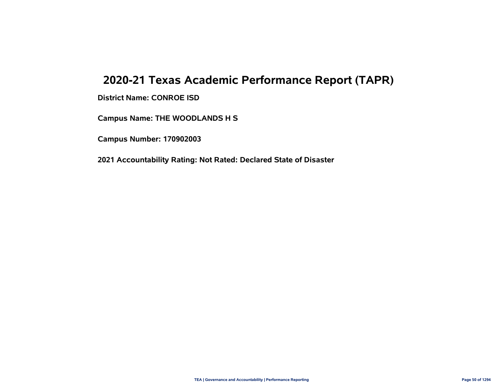# **2020-21 Texas Academic Performance Report (TAPR)**

**District Name: CONROE ISD**

**Campus Name: THE WOODLANDS H S**

**Campus Number: 170902003**

**2021 Accountability Rating: Not Rated: Declared State of Disaster**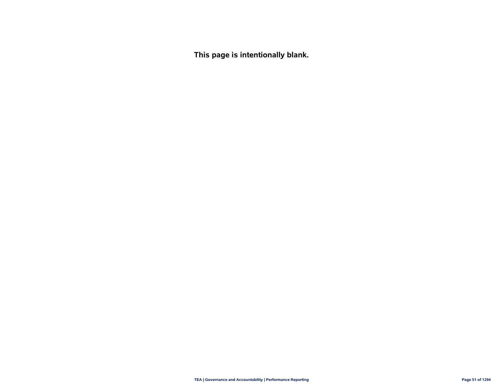**This page is intentionally blank.**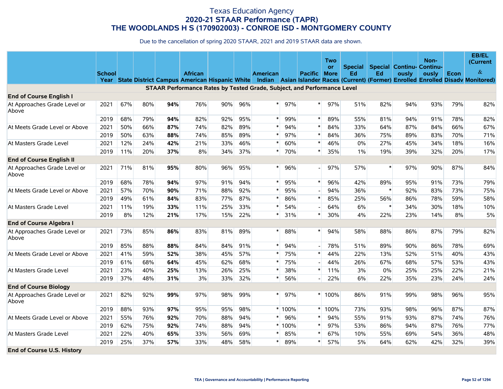# Texas Education Agency **2020-21 STAAR Performance (TAPR) THE WOODLANDS H S (170902003) - CONROE ISD - MONTGOMERY COUNTY**

Due to the cancellation of spring 2020 STAAR, 2021 and 2019 STAAR data are shown.

|                                       |               |     |     |     |                |     |     |                                                                         |        |         | Two         |                |        |                                  | Non-  |      | EB/EL<br>(Current                                                                                                                     |
|---------------------------------------|---------------|-----|-----|-----|----------------|-----|-----|-------------------------------------------------------------------------|--------|---------|-------------|----------------|--------|----------------------------------|-------|------|---------------------------------------------------------------------------------------------------------------------------------------|
|                                       |               |     |     |     |                |     |     |                                                                         |        |         | or          | <b>Special</b> |        | <b>Special Continu- Continu-</b> |       |      | $\&$                                                                                                                                  |
|                                       | <b>School</b> |     |     |     | <b>African</b> |     |     | <b>American</b>                                                         |        | Pacific | <b>More</b> | Ed             | Ed     | ously                            | ously | Econ | Year State District Campus American Hispanic White Indian Asian Islander Races (Current) (Former) Enrolled Enrolled Disadv Monitored) |
|                                       |               |     |     |     |                |     |     | STAAR Performance Rates by Tested Grade, Subject, and Performance Level |        |         |             |                |        |                                  |       |      |                                                                                                                                       |
| <b>End of Course English I</b>        |               |     |     |     |                |     |     |                                                                         |        |         |             |                |        |                                  |       |      |                                                                                                                                       |
| At Approaches Grade Level or<br>Above | 2021          | 67% | 80% | 94% | 76%            | 90% | 96% | $\ast$                                                                  | 97%    | $\ast$  | 97%         | 51%            | 82%    | 94%                              | 93%   | 79%  | 82%                                                                                                                                   |
|                                       | 2019          | 68% | 79% | 94% | 82%            | 92% | 95% | $\ast$                                                                  | 99%    | $\ast$  | 89%         | 55%            | 81%    | 94%                              | 91%   | 78%  | 82%                                                                                                                                   |
| At Meets Grade Level or Above         | 2021          | 50% | 66% | 87% | 74%            | 82% | 89% | $\ast$                                                                  | 94%    | $\ast$  | 84%         | 33%            | 64%    | 87%                              | 84%   | 66%  | 67%                                                                                                                                   |
|                                       | 2019          | 50% | 63% | 88% | 74%            | 85% | 89% |                                                                         | 97%    | $\ast$  | 84%         | 36%            | 75%    | 89%                              | 83%   | 70%  | 71%                                                                                                                                   |
| At Masters Grade Level                | 2021          | 12% | 24% | 42% | 21%            | 33% | 46% |                                                                         | 60%    | $\ast$  | 46%         | $0\%$          | 27%    | 45%                              | 34%   | 18%  | 16%                                                                                                                                   |
|                                       | 2019          | 11% | 20% | 37% | 8%             | 34% | 37% | $\ast$                                                                  | 70%    | $\ast$  | 35%         | $1\%$          | 19%    | 39%                              | 32%   | 20%  | 17%                                                                                                                                   |
| <b>End of Course English II</b>       |               |     |     |     |                |     |     |                                                                         |        |         |             |                |        |                                  |       |      |                                                                                                                                       |
| At Approaches Grade Level or<br>Above | 2021          | 71% | 81% | 95% | 80%            | 96% | 95% | $\ast$                                                                  | 96%    |         | 97%         | 57%            | $\ast$ | 97%                              | 90%   | 87%  | 84%                                                                                                                                   |
|                                       | 2019          | 68% | 78% | 94% | 97%            | 91% | 94% | $\ast$                                                                  | 95%    | $\ast$  | 96%         | 42%            | 89%    | 95%                              | 91%   | 73%  | 79%                                                                                                                                   |
| At Meets Grade Level or Above         | 2021          | 57% | 70% | 90% | 71%            | 88% | 92% | $\ast$                                                                  | 95%    |         | 94%         | 36%            | $\ast$ | 92%                              | 83%   | 73%  | 75%                                                                                                                                   |
|                                       | 2019          | 49% | 61% | 84% | 83%            | 77% | 87% | $\ast$                                                                  | 86%    | $\ast$  | 85%         | 25%            | 56%    | 86%                              | 78%   | 59%  | 58%                                                                                                                                   |
| At Masters Grade Level                | 2021          | 11% | 19% | 33% | 11%            | 25% | 33% | ∗                                                                       | 54%    |         | 64%         | 6%             | $\ast$ | 34%                              | 30%   | 18%  | 10%                                                                                                                                   |
|                                       | 2019          | 8%  | 12% | 21% | 17%            | 15% | 22% | $\ast$                                                                  | 31%    | $\ast$  | 30%         | 4%             | 22%    | 23%                              | 14%   | 8%   | 5%                                                                                                                                    |
| <b>End of Course Algebra I</b>        |               |     |     |     |                |     |     |                                                                         |        |         |             |                |        |                                  |       |      |                                                                                                                                       |
| At Approaches Grade Level or<br>Above | 2021          | 73% | 85% | 86% | 83%            | 81% | 89% | $\ast$                                                                  | 88%    | $\ast$  | 94%         | 58%            | 88%    | 86%                              | 87%   | 79%  | 82%                                                                                                                                   |
|                                       | 2019          | 85% | 88% | 88% | 84%            | 84% | 91% |                                                                         | 94%    |         | 78%         | 51%            | 89%    | 90%                              | 86%   | 78%  | 69%                                                                                                                                   |
| At Meets Grade Level or Above         | 2021          | 41% | 59% | 52% | 38%            | 45% | 57% | ∗                                                                       | 75%    | $\ast$  | 44%         | 22%            | 13%    | 52%                              | 51%   | 40%  | 43%                                                                                                                                   |
|                                       | 2019          | 61% | 68% | 64% | 45%            | 62% | 68% | ∗                                                                       | 75%    |         | 44%         | 26%            | 67%    | 68%                              | 57%   | 53%  | 43%                                                                                                                                   |
| At Masters Grade Level                | 2021          | 23% | 40% | 25% | 13%            | 26% | 25% | $\ast$                                                                  | 38%    | $\ast$  | 11%         | 3%             | 0%     | 25%                              | 25%   | 22%  | 21%                                                                                                                                   |
|                                       | 2019          | 37% | 48% | 31% | 3%             | 33% | 32% | $\ast$                                                                  | 56%    |         | 22%         | 6%             | 22%    | 35%                              | 23%   | 24%  | 24%                                                                                                                                   |
| <b>End of Course Biology</b>          |               |     |     |     |                |     |     |                                                                         |        |         |             |                |        |                                  |       |      |                                                                                                                                       |
| At Approaches Grade Level or<br>Above | 2021          | 82% | 92% | 99% | 97%            | 98% | 99% | $\ast$                                                                  | 97%    | $\ast$  | 100%        | 86%            | 91%    | 99%                              | 98%   | 96%  | 95%                                                                                                                                   |
|                                       | 2019          | 88% | 93% | 97% | 95%            | 95% | 98% |                                                                         | * 100% | $\ast$  | 100%        | 73%            | 93%    | 98%                              | 96%   | 87%  | 87%                                                                                                                                   |
| At Meets Grade Level or Above         | 2021          | 55% | 76% | 92% | 70%            | 88% | 94% |                                                                         | 96%    | $\ast$  | 94%         | 55%            | 91%    | 93%                              | 87%   | 74%  | 76%                                                                                                                                   |
|                                       | 2019          | 62% | 75% | 92% | 74%            | 88% | 94% |                                                                         | * 100% | $\ast$  | 97%         | 53%            | 86%    | 94%                              | 87%   | 76%  | 77%                                                                                                                                   |
| At Masters Grade Level                | 2021          | 22% | 40% | 65% | 33%            | 56% | 69% |                                                                         | 85%    | $\ast$  | 67%         | 10%            | 55%    | 69%                              | 54%   | 36%  | 48%                                                                                                                                   |
|                                       | 2019          | 25% | 37% | 57% | 33%            | 48% | 58% |                                                                         | 89%    |         | 57%         | 5%             | 64%    | 62%                              | 42%   | 32%  | 39%                                                                                                                                   |
| End of Course U.S. History            |               |     |     |     |                |     |     |                                                                         |        |         |             |                |        |                                  |       |      |                                                                                                                                       |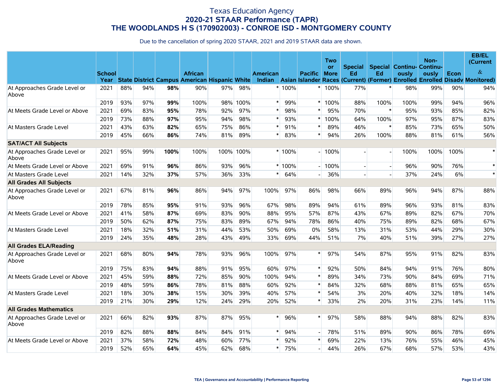# Texas Education Agency **2020-21 STAAR Performance (TAPR) THE WOODLANDS H S (170902003) - CONROE ISD - MONTGOMERY COUNTY**

Due to the cancellation of spring 2020 STAAR, 2021 and 2019 STAAR data are shown.

|                                       |               |     |     |      |                                                      |     |           |                 |          |                | Two         |                |                          |                                  | Non-  |      | EB/EL<br>(Current                                                           |
|---------------------------------------|---------------|-----|-----|------|------------------------------------------------------|-----|-----------|-----------------|----------|----------------|-------------|----------------|--------------------------|----------------------------------|-------|------|-----------------------------------------------------------------------------|
|                                       |               |     |     |      |                                                      |     |           |                 |          |                | or          | Special        |                          | <b>Special Continu- Continu-</b> |       |      |                                                                             |
|                                       | <b>School</b> |     |     |      | <b>African</b>                                       |     |           | <b>American</b> |          | <b>Pacific</b> | <b>More</b> | Ed             | Ed                       | ously                            | ously | Econ | $\&$                                                                        |
|                                       | Year          |     |     |      | <b>State District Campus American Hispanic White</b> |     |           | Indian          |          |                |             |                |                          |                                  |       |      | Asian Islander Races (Current) (Former) Enrolled Enrolled Disady Monitored) |
| At Approaches Grade Level or<br>Above | 2021          | 88% | 94% | 98%  | 90%                                                  | 97% | 98%       |                 | $*100%$  |                | $*100\%$    | 77%            |                          | 98%                              | 99%   | 90%  | 94%                                                                         |
|                                       | 2019          | 93% | 97% | 99%  | 100%                                                 | 98% | 100%      | $\ast$          | 99%      | $\ast$         | 100%        | 88%            | 100%                     | 100%                             | 99%   | 94%  | 96%                                                                         |
| At Meets Grade Level or Above         | 2021          | 69% | 83% | 95%  | 78%                                                  | 92% | 97%       |                 | 98%      | $\ast$         | 95%         | 70%            | $\ast$                   | 95%                              | 93%   | 85%  | 82%                                                                         |
|                                       | 2019          | 73% | 88% | 97%  | 95%                                                  | 94% | 98%       |                 | 93%      | $\ast$         | 100%        | 64%            | 100%                     | 97%                              | 95%   | 87%  | 83%                                                                         |
| At Masters Grade Level                | 2021          | 43% | 63% | 82%  | 65%                                                  | 75% | 86%       | $\ast$          | 91%      | $\ast$         | 89%         | 46%            | $\ast$                   | 85%                              | 73%   | 65%  | 50%                                                                         |
|                                       | 2019          | 45% | 66% | 86%  | 74%                                                  | 81% | 89%       | $\ast$          | 83%      | $\ast$         | 94%         | 26%            | 100%                     | 88%                              | 81%   | 61%  | 56%                                                                         |
| <b>SAT/ACT All Subjects</b>           |               |     |     |      |                                                      |     |           |                 |          |                |             |                |                          |                                  |       |      |                                                                             |
| At Approaches Grade Level or<br>Above | 2021          | 95% | 99% | 100% | 100%                                                 |     | 100% 100% |                 | $*100\%$ |                | 100%        |                | $\overline{\phantom{a}}$ | 100%                             | 100%  | 100% |                                                                             |
| At Meets Grade Level or Above         | 2021          | 69% | 91% | 96%  | 86%                                                  | 93% | 96%       |                 | * 100%   |                | 100%        | $\overline{a}$ | $\blacksquare$           | 96%                              | 90%   | 76%  | $\ast$                                                                      |
| At Masters Grade Level                | 2021          | 14% | 32% | 37%  | 57%                                                  | 36% | 33%       | $\ast$          | 64%      |                | 36%         |                |                          | 37%                              | 24%   | 6%   | $\ast$                                                                      |
| <b>All Grades All Subjects</b>        |               |     |     |      |                                                      |     |           |                 |          |                |             |                |                          |                                  |       |      |                                                                             |
| At Approaches Grade Level or<br>Above | 2021          | 67% | 81% | 96%  | 86%                                                  | 94% | 97%       | 100%            | 97%      | 86%            | 98%         | 66%            | 89%                      | 96%                              | 94%   | 87%  | 88%                                                                         |
|                                       | 2019          | 78% | 85% | 95%  | 91%                                                  | 93% | 96%       | 67%             | 98%      | 89%            | 94%         | 61%            | 89%                      | 96%                              | 93%   | 81%  | 83%                                                                         |
| At Meets Grade Level or Above         | 2021          | 41% | 58% | 87%  | 69%                                                  | 83% | 90%       | 88%             | 95%      | 57%            | 87%         | 43%            | 67%                      | 89%                              | 82%   | 67%  | 70%                                                                         |
|                                       | 2019          | 50% | 62% | 87%  | 75%                                                  | 83% | 89%       | 67%             | 94%      | 78%            | 86%         | 40%            | 75%                      | 89%                              | 82%   | 68%  | 67%                                                                         |
| At Masters Grade Level                | 2021          | 18% | 32% | 51%  | 31%                                                  | 44% | 53%       | 50%             | 69%      | $0\%$          | 58%         | 13%            | 31%                      | 53%                              | 44%   | 29%  | 30%                                                                         |
|                                       | 2019          | 24% | 35% | 48%  | 28%                                                  | 43% | 49%       | 33%             | 69%      | 44%            | 51%         | 7%             | 40%                      | 51%                              | 39%   | 27%  | 27%                                                                         |
| <b>All Grades ELA/Reading</b>         |               |     |     |      |                                                      |     |           |                 |          |                |             |                |                          |                                  |       |      |                                                                             |
| At Approaches Grade Level or<br>Above | 2021          | 68% | 80% | 94%  | 78%                                                  | 93% | 96%       | 100%            | 97%      | $\ast$         | 97%         | 54%            | 87%                      | 95%                              | 91%   | 82%  | 83%                                                                         |
|                                       | 2019          | 75% | 83% | 94%  | 88%                                                  | 91% | 95%       | 60%             | 97%      | $\ast$         | 92%         | 50%            | 84%                      | 94%                              | 91%   | 76%  | 80%                                                                         |
| At Meets Grade Level or Above         | 2021          | 45% | 59% | 88%  | 72%                                                  | 85% | 90%       | 100%            | 94%      | $\ast$         | 89%         | 34%            | 73%                      | 90%                              | 84%   | 69%  | 71%                                                                         |
|                                       | 2019          | 48% | 59% | 86%  | 78%                                                  | 81% | 88%       | 60%             | 92%      | $\ast$         | 84%         | 32%            | 68%                      | 88%                              | 81%   | 65%  | 65%                                                                         |
| At Masters Grade Level                | 2021          | 18% | 30% | 38%  | 15%                                                  | 30% | 39%       | 40%             | 57%      | $\ast$         | 54%         | 3%             | 20%                      | 40%                              | 32%   | 18%  | 14%                                                                         |
|                                       | 2019          | 21% | 30% | 29%  | 12%                                                  | 24% | 29%       | 20%             | 52%      | $\ast$         | 33%         | 2%             | 20%                      | 31%                              | 23%   | 14%  | 11%                                                                         |
| <b>All Grades Mathematics</b>         |               |     |     |      |                                                      |     |           |                 |          |                |             |                |                          |                                  |       |      |                                                                             |
| At Approaches Grade Level or<br>Above | 2021          | 66% | 82% | 93%  | 87%                                                  | 87% | 95%       | $\ast$          | 96%      | $\ast$         | 97%         | 58%            | 88%                      | 94%                              | 88%   | 82%  | 83%                                                                         |
|                                       | 2019          | 82% | 88% | 88%  | 84%                                                  | 84% | 91%       | $\ast$          | 94%      |                | 78%         | 51%            | 89%                      | 90%                              | 86%   | 78%  | 69%                                                                         |
| At Meets Grade Level or Above         | 2021          | 37% | 58% | 72%  | 48%                                                  | 60% | 77%       |                 | 92%      | $\ast$         | 69%         | 22%            | 13%                      | 76%                              | 55%   | 46%  | 45%                                                                         |
|                                       | 2019          | 52% | 65% | 64%  | 45%                                                  | 62% | 68%       |                 | 75%      |                | 44%         | 26%            | 67%                      | 68%                              | 57%   | 53%  | 43%                                                                         |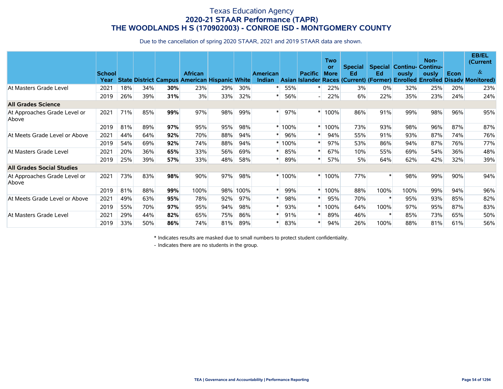# Texas Education Agency **2020-21 STAAR Performance (TAPR) THE WOODLANDS H S (170902003) - CONROE ISD - MONTGOMERY COUNTY**

Due to the cancellation of spring 2020 STAAR, 2021 and 2019 STAAR data are shown.

|                                       | <b>School</b><br>Year |     |     |     | <b>African</b><br><b>State District Campus American Hispanic White</b> |     |      | American<br>Indian |          | <b>Pacific</b> | <b>Two</b><br>or<br><b>More</b> | <b>Special</b><br>Ed | <b>Special</b><br>Ed | <b>Continu-Continu-</b><br>ously | Non-<br>ously | Econ | <b>EB/EL</b><br>(Current<br>$\alpha$<br>Asian Islander Races (Current) (Former) Enrolled Enrolled Disady Monitored) |
|---------------------------------------|-----------------------|-----|-----|-----|------------------------------------------------------------------------|-----|------|--------------------|----------|----------------|---------------------------------|----------------------|----------------------|----------------------------------|---------------|------|---------------------------------------------------------------------------------------------------------------------|
| At Masters Grade Level                | 2021                  | 18% | 34% | 30% | 23%                                                                    | 29% | 30%  |                    | 55%      |                | 22%                             | 3%                   | $0\%$                | 32%                              | 25%           | 20%  | 23%                                                                                                                 |
|                                       | 2019                  | 26% | 39% | 31% | 3%                                                                     | 33% | 32%  | $\ast$             | 56%      |                | 22%                             | 6%                   | 22%                  | 35%                              | 23%           | 24%  | 24%                                                                                                                 |
| <b>All Grades Science</b>             |                       |     |     |     |                                                                        |     |      |                    |          |                |                                 |                      |                      |                                  |               |      |                                                                                                                     |
| At Approaches Grade Level or<br>Above | 2021                  | 71% | 85% | 99% | 97%                                                                    | 98% | 99%  | $\ast$             | 97%      | ∗              | 100%                            | 86%                  | 91%                  | 99%                              | 98%           | 96%  | 95%                                                                                                                 |
|                                       | 2019                  | 81% | 89% | 97% | 95%                                                                    | 95% | 98%  |                    | $*100\%$ | *              | 100%                            | 73%                  | 93%                  | 98%                              | 96%           | 87%  | 87%                                                                                                                 |
| At Meets Grade Level or Above         | 2021                  | 44% | 64% | 92% | 70%                                                                    | 88% | 94%  |                    | 96%      | *              | 94%                             | 55%                  | 91%                  | 93%                              | 87%           | 74%  | 76%                                                                                                                 |
|                                       | 2019                  | 54% | 69% | 92% | 74%                                                                    | 88% | 94%  |                    | $*100\%$ |                | 97%                             | 53%                  | 86%                  | 94%                              | 87%           | 76%  | 77%                                                                                                                 |
| At Masters Grade Level                | 2021                  | 20% | 36% | 65% | 33%                                                                    | 56% | 69%  |                    | 85%      | *              | 67%                             | 10%                  | 55%                  | 69%                              | 54%           | 36%  | 48%                                                                                                                 |
|                                       | 2019                  | 25% | 39% | 57% | 33%                                                                    | 48% | 58%  |                    | 89%      |                | 57%                             | 5%                   | 64%                  | 62%                              | 42%           | 32%  | 39%                                                                                                                 |
| <b>All Grades Social Studies</b>      |                       |     |     |     |                                                                        |     |      |                    |          |                |                                 |                      |                      |                                  |               |      |                                                                                                                     |
| At Approaches Grade Level or<br>Above | 2021                  | 73% | 83% | 98% | 90%                                                                    | 97% | 98%  |                    | $*100\%$ |                | 100%                            | 77%                  | $\ast$               | 98%                              | 99%           | 90%  | 94%                                                                                                                 |
|                                       | 2019                  | 81% | 88% | 99% | 100%                                                                   | 98% | 100% |                    | 99%      | $\ast$         | 100%                            | 88%                  | 100%                 | 100%                             | 99%           | 94%  | 96%                                                                                                                 |
| At Meets Grade Level or Above         | 2021                  | 49% | 63% | 95% | 78%                                                                    | 92% | 97%  |                    | 98%      |                | 95%                             | 70%                  | $\ast$               | 95%                              | 93%           | 85%  | 82%                                                                                                                 |
|                                       | 2019                  | 55% | 70% | 97% | 95%                                                                    | 94% | 98%  |                    | 93%      |                | 100%                            | 64%                  | 100%                 | 97%                              | 95%           | 87%  | 83%                                                                                                                 |
| At Masters Grade Level                | 2021                  | 29% | 44% | 82% | 65%                                                                    | 75% | 86%  |                    | 91%      |                | 89%                             | 46%                  | $\ast$               | 85%                              | 73%           | 65%  | 50%                                                                                                                 |
|                                       | 2019                  | 33% | 50% | 86% | 74%                                                                    | 81% | 89%  |                    | 83%      |                | 94%                             | 26%                  | 100%                 | 88%                              | 81%           | 61%  | 56%                                                                                                                 |

\* Indicates results are masked due to small numbers to protect student confidentiality.

- Indicates there are no students in the group.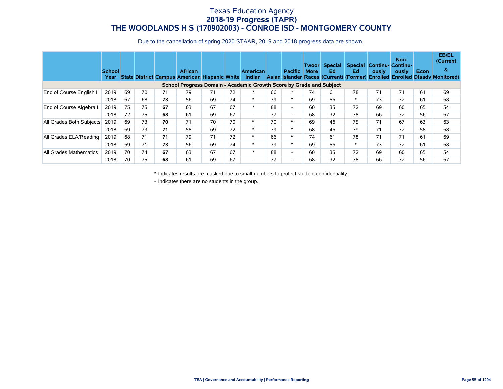#### Texas Education Agency **2018-19 Progress (TAPR) THE WOODLANDS H S (170902003) - CONROE ISD - MONTGOMERY COUNTY**

Due to the cancellation of spring 2020 STAAR, 2019 and 2018 progress data are shown.

|                          | <b>School</b> |    |    |    | <b>African</b><br>Year State District Campus American Hispanic White |    |    | <b>American</b><br>Indian |    | <b>Pacific</b>           | <b>Twoor</b><br><b>More</b> | <b>Special</b><br>Ed. | <b>Special</b><br>Ed | Continu-Continu-<br>ously | Non-<br>ously | Econ | <b>EB/EL</b><br>(Current<br>$\alpha$<br>Asian Islander Races (Current) (Former) Enrolled Enrolled Disady Monitored) |
|--------------------------|---------------|----|----|----|----------------------------------------------------------------------|----|----|---------------------------|----|--------------------------|-----------------------------|-----------------------|----------------------|---------------------------|---------------|------|---------------------------------------------------------------------------------------------------------------------|
|                          |               |    |    |    | School Progress Domain - Academic Growth Score by Grade and Subject  |    |    |                           |    |                          |                             |                       |                      |                           |               |      |                                                                                                                     |
| End of Course English II | 2019          | 69 | 70 | 71 | 79                                                                   | 71 | 72 |                           | 66 |                          | 74                          | 61                    | 78                   | 71                        | 71            | 61   | 69                                                                                                                  |
|                          | 2018          | 67 | 68 | 73 | 56                                                                   | 69 | 74 | *                         | 79 | $\ast$                   | 69                          | 56                    | $\ast$               | 73                        | 72            | 61   | 68                                                                                                                  |
| End of Course Algebra I  | 2019          | 75 | 75 | 67 | 63                                                                   | 67 | 67 | $\ast$                    | 88 | $\overline{\phantom{a}}$ | 60                          | 35                    | 72                   | 69                        | 60            | 65   | 54                                                                                                                  |
|                          | 2018          | 72 | 75 | 68 | 61                                                                   | 69 | 67 | $\overline{\phantom{a}}$  | 77 | $\overline{\phantom{a}}$ | 68                          | 32                    | 78                   | 66                        | 72            | 56   | 67                                                                                                                  |
| All Grades Both Subjects | 2019          | 69 | 73 | 70 | 71                                                                   | 70 | 70 | $\ast$                    | 70 | $\ast$                   | 69                          | 46                    | 75                   | 71                        | 67            | 63   | 63                                                                                                                  |
|                          | 2018          | 69 | 73 | 71 | 58                                                                   | 69 | 72 | $\ast$                    | 79 | $\ast$                   | 68                          | 46                    | 79                   | 71                        | 72            | 58   | 68                                                                                                                  |
| All Grades ELA/Reading   | 2019          | 68 | 71 | 71 | 79                                                                   | 71 | 72 | $\ast$                    | 66 | $\ast$                   | 74                          | 61                    | 78                   | 71                        | 71            | 61   | 69                                                                                                                  |
|                          | 2018          | 69 | 71 | 73 | 56                                                                   | 69 | 74 | $\ast$                    | 79 | $\ast$                   | 69                          | 56                    | $\ast$               | 73                        | 72            | 61   | 68                                                                                                                  |
| All Grades Mathematics   | 2019          | 70 | 74 | 67 | 63                                                                   | 67 | 67 | $\ast$                    | 88 | $\overline{\phantom{a}}$ | 60                          | 35                    | 72                   | 69                        | 60            | 65   | 54                                                                                                                  |
|                          | 2018          | 70 | 75 | 68 | 61                                                                   | 69 | 67 | $\overline{\phantom{a}}$  | 77 | $\overline{\phantom{a}}$ | 68                          | 32                    | 78                   | 66                        | 72            | 56   | 67                                                                                                                  |

\* Indicates results are masked due to small numbers to protect student confidentiality.

- Indicates there are no students in the group.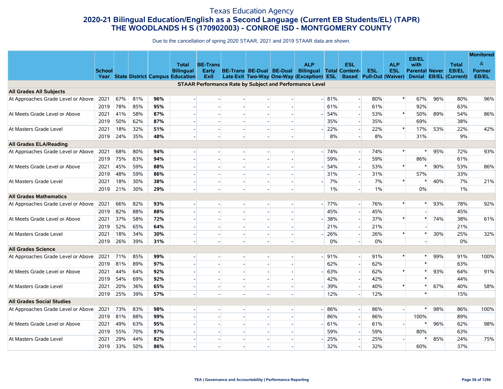# Texas Education Agency **2020-21 Bilingual Education/English as a Second Language (Current EB Students/EL) (TAPR) THE WOODLANDS H S (170902003) - CONROE ISD - MONTGOMERY COUNTY**

Due to the cancellation of spring 2020 STAAR, 2021 and 2019 STAAR data are shown.

| $\&$<br><b>ALP</b><br><b>ESL</b><br><b>BE-Trans</b><br><b>ALP</b><br>with<br><b>Total</b><br><b>Total</b><br><b>Bilingual   Total Content-</b><br><b>School</b><br><b>Bilingual</b><br><b>Early</b><br><b>BE-Trans BE-Dual BE-Dual</b><br><b>ESL</b><br><b>ESL</b><br><b>Parental Never</b><br><b>EB/EL</b><br><b>Former</b><br><b>Based</b> Pull-Out (Waiver)<br>Exit<br>Late Exit Two-Way One-Way (Exception) ESL<br>EB/EL<br><b>Year State District Campus Education</b><br><b>Denial</b><br><b>EB/EL (Current)</b><br><b>STAAR Performance Rate by Subject and Performance Level</b><br><b>All Grades All Subjects</b><br>2021<br>67%<br>81%<br>96%<br>$-181%$<br>80%<br>$\ast$<br>67%<br>96%<br>80%<br>96%<br>At Approaches Grade Level or Above<br>$\overline{\phantom{a}}$<br>$\sim$<br>$\overline{\phantom{a}}$<br>92%<br>78%<br>85%<br>95%<br>$\overline{a}$<br>61%<br>61%<br>63%<br>2019<br>$\ast$<br>54%<br>86%<br>At Meets Grade Level or Above<br>2021<br>41%<br>58%<br>87%<br>54%<br>53%<br>50%<br>89%<br>$\overline{\phantom{a}}$<br>$\overline{a}$<br>$\blacksquare$<br>62%<br>87%<br>35%<br>69%<br>38%<br>2019<br>50%<br>35%<br>$\overline{\phantom{a}}$<br>$\overline{\phantom{a}}$<br>$\ast$<br>51%<br>22%<br>22%<br>42%<br>At Masters Grade Level<br>2021<br>18%<br>32%<br>22%<br>17%<br>53%<br>$\overline{\phantom{a}}$<br>$\overline{\phantom{a}}$<br>24%<br>35%<br>48%<br>8%<br>8%<br>31%<br>9%<br>2019<br>$\overline{\phantom{a}}$<br><b>All Grades ELA/Reading</b><br>68%<br>80%<br>94%<br>$\ast$<br>95%<br>72%<br>93%<br>At Approaches Grade Level or Above<br>2021<br>$- 74%$<br>74%<br>$\overline{\phantom{a}}$<br>$\overline{\phantom{a}}$<br>$\overline{\phantom{a}}$<br>83%<br>59%<br>86%<br>61%<br>2019<br>75%<br>94%<br>59%<br>$\overline{\phantom{a}}$ |  |  |  |  |  |  |  |       |  | <b>Monitored</b> |
|------------------------------------------------------------------------------------------------------------------------------------------------------------------------------------------------------------------------------------------------------------------------------------------------------------------------------------------------------------------------------------------------------------------------------------------------------------------------------------------------------------------------------------------------------------------------------------------------------------------------------------------------------------------------------------------------------------------------------------------------------------------------------------------------------------------------------------------------------------------------------------------------------------------------------------------------------------------------------------------------------------------------------------------------------------------------------------------------------------------------------------------------------------------------------------------------------------------------------------------------------------------------------------------------------------------------------------------------------------------------------------------------------------------------------------------------------------------------------------------------------------------------------------------------------------------------------------------------------------------------------------------------------------------------------------------------------------------------------------------------------------------------------------------|--|--|--|--|--|--|--|-------|--|------------------|
|                                                                                                                                                                                                                                                                                                                                                                                                                                                                                                                                                                                                                                                                                                                                                                                                                                                                                                                                                                                                                                                                                                                                                                                                                                                                                                                                                                                                                                                                                                                                                                                                                                                                                                                                                                                          |  |  |  |  |  |  |  | EB/EL |  |                  |
|                                                                                                                                                                                                                                                                                                                                                                                                                                                                                                                                                                                                                                                                                                                                                                                                                                                                                                                                                                                                                                                                                                                                                                                                                                                                                                                                                                                                                                                                                                                                                                                                                                                                                                                                                                                          |  |  |  |  |  |  |  |       |  |                  |
|                                                                                                                                                                                                                                                                                                                                                                                                                                                                                                                                                                                                                                                                                                                                                                                                                                                                                                                                                                                                                                                                                                                                                                                                                                                                                                                                                                                                                                                                                                                                                                                                                                                                                                                                                                                          |  |  |  |  |  |  |  |       |  |                  |
|                                                                                                                                                                                                                                                                                                                                                                                                                                                                                                                                                                                                                                                                                                                                                                                                                                                                                                                                                                                                                                                                                                                                                                                                                                                                                                                                                                                                                                                                                                                                                                                                                                                                                                                                                                                          |  |  |  |  |  |  |  |       |  |                  |
|                                                                                                                                                                                                                                                                                                                                                                                                                                                                                                                                                                                                                                                                                                                                                                                                                                                                                                                                                                                                                                                                                                                                                                                                                                                                                                                                                                                                                                                                                                                                                                                                                                                                                                                                                                                          |  |  |  |  |  |  |  |       |  |                  |
|                                                                                                                                                                                                                                                                                                                                                                                                                                                                                                                                                                                                                                                                                                                                                                                                                                                                                                                                                                                                                                                                                                                                                                                                                                                                                                                                                                                                                                                                                                                                                                                                                                                                                                                                                                                          |  |  |  |  |  |  |  |       |  |                  |
|                                                                                                                                                                                                                                                                                                                                                                                                                                                                                                                                                                                                                                                                                                                                                                                                                                                                                                                                                                                                                                                                                                                                                                                                                                                                                                                                                                                                                                                                                                                                                                                                                                                                                                                                                                                          |  |  |  |  |  |  |  |       |  |                  |
|                                                                                                                                                                                                                                                                                                                                                                                                                                                                                                                                                                                                                                                                                                                                                                                                                                                                                                                                                                                                                                                                                                                                                                                                                                                                                                                                                                                                                                                                                                                                                                                                                                                                                                                                                                                          |  |  |  |  |  |  |  |       |  |                  |
|                                                                                                                                                                                                                                                                                                                                                                                                                                                                                                                                                                                                                                                                                                                                                                                                                                                                                                                                                                                                                                                                                                                                                                                                                                                                                                                                                                                                                                                                                                                                                                                                                                                                                                                                                                                          |  |  |  |  |  |  |  |       |  |                  |
|                                                                                                                                                                                                                                                                                                                                                                                                                                                                                                                                                                                                                                                                                                                                                                                                                                                                                                                                                                                                                                                                                                                                                                                                                                                                                                                                                                                                                                                                                                                                                                                                                                                                                                                                                                                          |  |  |  |  |  |  |  |       |  |                  |
|                                                                                                                                                                                                                                                                                                                                                                                                                                                                                                                                                                                                                                                                                                                                                                                                                                                                                                                                                                                                                                                                                                                                                                                                                                                                                                                                                                                                                                                                                                                                                                                                                                                                                                                                                                                          |  |  |  |  |  |  |  |       |  |                  |
|                                                                                                                                                                                                                                                                                                                                                                                                                                                                                                                                                                                                                                                                                                                                                                                                                                                                                                                                                                                                                                                                                                                                                                                                                                                                                                                                                                                                                                                                                                                                                                                                                                                                                                                                                                                          |  |  |  |  |  |  |  |       |  |                  |
|                                                                                                                                                                                                                                                                                                                                                                                                                                                                                                                                                                                                                                                                                                                                                                                                                                                                                                                                                                                                                                                                                                                                                                                                                                                                                                                                                                                                                                                                                                                                                                                                                                                                                                                                                                                          |  |  |  |  |  |  |  |       |  |                  |
|                                                                                                                                                                                                                                                                                                                                                                                                                                                                                                                                                                                                                                                                                                                                                                                                                                                                                                                                                                                                                                                                                                                                                                                                                                                                                                                                                                                                                                                                                                                                                                                                                                                                                                                                                                                          |  |  |  |  |  |  |  |       |  |                  |
| $\ast$<br>53%<br>At Meets Grade Level or Above<br>45%<br>59%<br>88%<br>54%<br>53%<br>90%<br>86%<br>2021<br>$\blacksquare$<br>$\overline{a}$<br>$\overline{\phantom{a}}$                                                                                                                                                                                                                                                                                                                                                                                                                                                                                                                                                                                                                                                                                                                                                                                                                                                                                                                                                                                                                                                                                                                                                                                                                                                                                                                                                                                                                                                                                                                                                                                                                  |  |  |  |  |  |  |  |       |  |                  |
| 48%<br>59%<br>86%<br>31%<br>57%<br>33%<br>2019<br>31%<br>$\blacksquare$<br>н.<br>$\blacksquare$                                                                                                                                                                                                                                                                                                                                                                                                                                                                                                                                                                                                                                                                                                                                                                                                                                                                                                                                                                                                                                                                                                                                                                                                                                                                                                                                                                                                                                                                                                                                                                                                                                                                                          |  |  |  |  |  |  |  |       |  |                  |
| $\ast$<br>At Masters Grade Level<br>7%<br>7%<br>7%<br>21%<br>2021<br>18%<br>30%<br>38%<br>40%<br>$\overline{\phantom{a}}$                                                                                                                                                                                                                                                                                                                                                                                                                                                                                                                                                                                                                                                                                                                                                                                                                                                                                                                                                                                                                                                                                                                                                                                                                                                                                                                                                                                                                                                                                                                                                                                                                                                                |  |  |  |  |  |  |  |       |  |                  |
| 1%<br>$1\%$<br>0%<br>1%<br>2019<br>21%<br>30%<br>29%<br>$\overline{a}$                                                                                                                                                                                                                                                                                                                                                                                                                                                                                                                                                                                                                                                                                                                                                                                                                                                                                                                                                                                                                                                                                                                                                                                                                                                                                                                                                                                                                                                                                                                                                                                                                                                                                                                   |  |  |  |  |  |  |  |       |  |                  |
| <b>All Grades Mathematics</b>                                                                                                                                                                                                                                                                                                                                                                                                                                                                                                                                                                                                                                                                                                                                                                                                                                                                                                                                                                                                                                                                                                                                                                                                                                                                                                                                                                                                                                                                                                                                                                                                                                                                                                                                                            |  |  |  |  |  |  |  |       |  |                  |
| 78%<br>92%<br>2021<br>66%<br>82%<br>93%<br>$-177%$<br>76%<br>$\ast$<br>93%<br>At Approaches Grade Level or Above<br>$\overline{\phantom{a}}$<br>$\blacksquare$<br>$\blacksquare$                                                                                                                                                                                                                                                                                                                                                                                                                                                                                                                                                                                                                                                                                                                                                                                                                                                                                                                                                                                                                                                                                                                                                                                                                                                                                                                                                                                                                                                                                                                                                                                                         |  |  |  |  |  |  |  |       |  |                  |
| 45%<br>82%<br>88%<br>88%<br>45%<br>45%<br>2019<br>$\blacksquare$                                                                                                                                                                                                                                                                                                                                                                                                                                                                                                                                                                                                                                                                                                                                                                                                                                                                                                                                                                                                                                                                                                                                                                                                                                                                                                                                                                                                                                                                                                                                                                                                                                                                                                                         |  |  |  |  |  |  |  |       |  |                  |
| 37%<br>58%<br>72%<br>38%<br>37%<br>$\ast$<br>38%<br>61%<br>At Meets Grade Level or Above<br>2021<br>$\ast$<br>74%<br>$\overline{\phantom{a}}$<br>$\overline{a}$<br>$\overline{a}$<br>$\overline{a}$                                                                                                                                                                                                                                                                                                                                                                                                                                                                                                                                                                                                                                                                                                                                                                                                                                                                                                                                                                                                                                                                                                                                                                                                                                                                                                                                                                                                                                                                                                                                                                                      |  |  |  |  |  |  |  |       |  |                  |
| 65%<br>64%<br>21%<br>2019<br>52%<br>21%<br>21%<br>$\blacksquare$<br>$\blacksquare$                                                                                                                                                                                                                                                                                                                                                                                                                                                                                                                                                                                                                                                                                                                                                                                                                                                                                                                                                                                                                                                                                                                                                                                                                                                                                                                                                                                                                                                                                                                                                                                                                                                                                                       |  |  |  |  |  |  |  |       |  |                  |
| 25%<br>At Masters Grade Level<br>2021<br>18%<br>34%<br>30%<br>26%<br>26%<br>$\ast$<br>30%<br>32%<br>$\overline{\phantom{a}}$<br>$\overline{\phantom{a}}$                                                                                                                                                                                                                                                                                                                                                                                                                                                                                                                                                                                                                                                                                                                                                                                                                                                                                                                                                                                                                                                                                                                                                                                                                                                                                                                                                                                                                                                                                                                                                                                                                                 |  |  |  |  |  |  |  |       |  |                  |
| $0\%$<br>26%<br>39%<br>31%<br>0%<br>0%<br>2019<br>$\overline{a}$                                                                                                                                                                                                                                                                                                                                                                                                                                                                                                                                                                                                                                                                                                                                                                                                                                                                                                                                                                                                                                                                                                                                                                                                                                                                                                                                                                                                                                                                                                                                                                                                                                                                                                                         |  |  |  |  |  |  |  |       |  |                  |
| <b>All Grades Science</b>                                                                                                                                                                                                                                                                                                                                                                                                                                                                                                                                                                                                                                                                                                                                                                                                                                                                                                                                                                                                                                                                                                                                                                                                                                                                                                                                                                                                                                                                                                                                                                                                                                                                                                                                                                |  |  |  |  |  |  |  |       |  |                  |
| 99%<br>91%<br>100%<br>At Approaches Grade Level or Above<br>2021<br>71%<br>85%<br>$-$ 91%<br>91%<br>$\ast$<br>99%<br>$\ast$<br>$\blacksquare$<br>$\overline{a}$<br>$\overline{a}$                                                                                                                                                                                                                                                                                                                                                                                                                                                                                                                                                                                                                                                                                                                                                                                                                                                                                                                                                                                                                                                                                                                                                                                                                                                                                                                                                                                                                                                                                                                                                                                                        |  |  |  |  |  |  |  |       |  |                  |
| 97%<br>62%<br>63%<br>2019<br>81%<br>89%<br>62%<br>$\blacksquare$                                                                                                                                                                                                                                                                                                                                                                                                                                                                                                                                                                                                                                                                                                                                                                                                                                                                                                                                                                                                                                                                                                                                                                                                                                                                                                                                                                                                                                                                                                                                                                                                                                                                                                                         |  |  |  |  |  |  |  |       |  |                  |
| 44%<br>92%<br>63%<br>62%<br>$\ast$<br>93%<br>64%<br>91%<br>At Meets Grade Level or Above<br>2021<br>64%<br>$\blacksquare$                                                                                                                                                                                                                                                                                                                                                                                                                                                                                                                                                                                                                                                                                                                                                                                                                                                                                                                                                                                                                                                                                                                                                                                                                                                                                                                                                                                                                                                                                                                                                                                                                                                                |  |  |  |  |  |  |  |       |  |                  |
| $\ast$<br>54%<br>69%<br>92%<br>42%<br>42%<br>44%<br>2019<br>$\overline{\phantom{a}}$<br>$\overline{a}$                                                                                                                                                                                                                                                                                                                                                                                                                                                                                                                                                                                                                                                                                                                                                                                                                                                                                                                                                                                                                                                                                                                                                                                                                                                                                                                                                                                                                                                                                                                                                                                                                                                                                   |  |  |  |  |  |  |  |       |  |                  |
| 40%<br>At Masters Grade Level<br>20%<br>36%<br>65%<br>39%<br>40%<br>$\ast$<br>67%<br>58%<br>2021<br>$\blacksquare$<br>$\overline{a}$<br>$\blacksquare$                                                                                                                                                                                                                                                                                                                                                                                                                                                                                                                                                                                                                                                                                                                                                                                                                                                                                                                                                                                                                                                                                                                                                                                                                                                                                                                                                                                                                                                                                                                                                                                                                                   |  |  |  |  |  |  |  |       |  |                  |
| 57%<br>2019<br>25%<br>39%<br>12%<br>12%<br>15%<br>$\ast$<br>$\blacksquare$                                                                                                                                                                                                                                                                                                                                                                                                                                                                                                                                                                                                                                                                                                                                                                                                                                                                                                                                                                                                                                                                                                                                                                                                                                                                                                                                                                                                                                                                                                                                                                                                                                                                                                               |  |  |  |  |  |  |  |       |  |                  |
| <b>All Grades Social Studies</b>                                                                                                                                                                                                                                                                                                                                                                                                                                                                                                                                                                                                                                                                                                                                                                                                                                                                                                                                                                                                                                                                                                                                                                                                                                                                                                                                                                                                                                                                                                                                                                                                                                                                                                                                                         |  |  |  |  |  |  |  |       |  |                  |
| 2021<br>73%<br>83%<br>98%<br>86%<br>86%<br>98%<br>86%<br>100%<br>$\ast$<br>At Approaches Grade Level or Above<br>$\overline{\phantom{a}}$<br>$\overline{a}$<br>$\overline{a}$<br>$\overline{a}$<br>$\overline{a}$                                                                                                                                                                                                                                                                                                                                                                                                                                                                                                                                                                                                                                                                                                                                                                                                                                                                                                                                                                                                                                                                                                                                                                                                                                                                                                                                                                                                                                                                                                                                                                        |  |  |  |  |  |  |  |       |  |                  |
| 88%<br>99%<br>86%<br>100%<br>89%<br>2019<br>81%<br>86%<br>$\overline{\phantom{a}}$<br>$\overline{\phantom{a}}$<br>$\overline{\phantom{a}}$                                                                                                                                                                                                                                                                                                                                                                                                                                                                                                                                                                                                                                                                                                                                                                                                                                                                                                                                                                                                                                                                                                                                                                                                                                                                                                                                                                                                                                                                                                                                                                                                                                               |  |  |  |  |  |  |  |       |  |                  |
| 98%<br>At Meets Grade Level or Above<br>49%<br>63%<br>95%<br>$- 61%$<br>61%<br>96%<br>62%<br>2021<br>$\overline{\phantom{a}}$<br>$\frac{1}{2}$                                                                                                                                                                                                                                                                                                                                                                                                                                                                                                                                                                                                                                                                                                                                                                                                                                                                                                                                                                                                                                                                                                                                                                                                                                                                                                                                                                                                                                                                                                                                                                                                                                           |  |  |  |  |  |  |  |       |  |                  |
| 55%<br>97%<br>59%<br>59%<br>80%<br>63%<br>2019<br>70%<br>$\blacksquare$                                                                                                                                                                                                                                                                                                                                                                                                                                                                                                                                                                                                                                                                                                                                                                                                                                                                                                                                                                                                                                                                                                                                                                                                                                                                                                                                                                                                                                                                                                                                                                                                                                                                                                                  |  |  |  |  |  |  |  |       |  |                  |
| 82%<br>25%<br>25%<br>24%<br>75%<br>At Masters Grade Level<br>29%<br>44%<br>85%<br>2021<br>$\overline{\phantom{a}}$<br>$\overline{\phantom{a}}$                                                                                                                                                                                                                                                                                                                                                                                                                                                                                                                                                                                                                                                                                                                                                                                                                                                                                                                                                                                                                                                                                                                                                                                                                                                                                                                                                                                                                                                                                                                                                                                                                                           |  |  |  |  |  |  |  |       |  |                  |
| 2019<br>33%<br>50%<br>86%<br>32%<br>32%<br>60%<br>37%                                                                                                                                                                                                                                                                                                                                                                                                                                                                                                                                                                                                                                                                                                                                                                                                                                                                                                                                                                                                                                                                                                                                                                                                                                                                                                                                                                                                                                                                                                                                                                                                                                                                                                                                    |  |  |  |  |  |  |  |       |  |                  |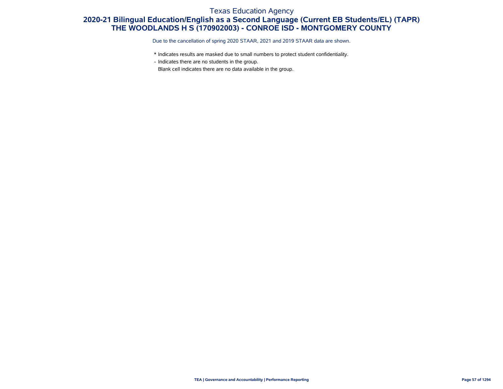#### Texas Education Agency

# **2020-21 Bilingual Education/English as a Second Language (Current EB Students/EL) (TAPR) THE WOODLANDS H S (170902003) - CONROE ISD - MONTGOMERY COUNTY**

Due to the cancellation of spring 2020 STAAR, 2021 and 2019 STAAR data are shown.

- \* Indicates results are masked due to small numbers to protect student confidentiality.
- Indicates there are no students in the group.

Blank cell indicates there are no data available in the group.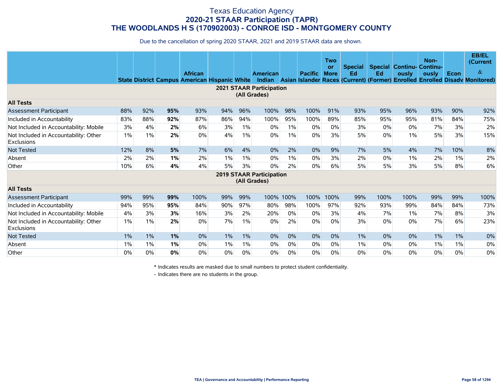### Texas Education Agency **2020-21 STAAR Participation (TAPR) THE WOODLANDS H S (170902003) - CONROE ISD - MONTGOMERY COUNTY**

Due to the cancellation of spring 2020 STAAR, 2021 and 2019 STAAR data are shown.

|                                                            |     |       |     | <b>African</b><br><b>State District Campus American Hispanic White</b> |     |       | <b>American</b>                                 |           | <b>Pacific</b> | Two<br>or<br><b>More</b> | <b>Special</b><br>Ed | Ed    | <b>Special Continu- Continu-</b><br>ously | Non-<br>ously | Econ  | <b>EB/EL</b><br>(Current<br>&<br>Indian Asian Islander Races (Current) (Former) Enrolled Enrolled Disady Monitored) |
|------------------------------------------------------------|-----|-------|-----|------------------------------------------------------------------------|-----|-------|-------------------------------------------------|-----------|----------------|--------------------------|----------------------|-------|-------------------------------------------|---------------|-------|---------------------------------------------------------------------------------------------------------------------|
|                                                            |     |       |     |                                                                        |     |       | <b>2021 STAAR Participation</b><br>(All Grades) |           |                |                          |                      |       |                                           |               |       |                                                                                                                     |
| <b>All Tests</b>                                           |     |       |     |                                                                        |     |       |                                                 |           |                |                          |                      |       |                                           |               |       |                                                                                                                     |
| <b>Assessment Participant</b>                              | 88% | 92%   | 95% | 93%                                                                    | 94% | 96%   | 100%                                            | 98%       | 100%           | 91%                      | 93%                  | 95%   | 96%                                       | 93%           | 90%   | 92%                                                                                                                 |
| Included in Accountability                                 | 83% | 88%   | 92% | 87%                                                                    | 86% | 94%   | 100%                                            | 95%       | 100%           | 89%                      | 85%                  | 95%   | 95%                                       | 81%           | 84%   | 75%                                                                                                                 |
| Not Included in Accountability: Mobile                     | 3%  | 4%    | 2%  | 6%                                                                     | 3%  | 1%    | 0%                                              | 1%        | $0\%$          | 0%                       | 3%                   | 0%    | 0%                                        | 7%            | 3%    | 2%                                                                                                                  |
| Not Included in Accountability: Other<br><b>Exclusions</b> | 1%  | 1%    | 2%  | 0%                                                                     | 4%  | 1%    | $0\%$                                           | 1%        | $0\%$          | 3%                       | 5%                   | 0%    | 1%                                        | 5%            | 3%    | 15%                                                                                                                 |
| <b>Not Tested</b>                                          | 12% | 8%    | 5%  | 7%                                                                     | 6%  | 4%    | 0%                                              | 2%        | 0%             | 9%                       | 7%                   | 5%    | 4%                                        | 7%            | 10%   | 8%                                                                                                                  |
| Absent                                                     | 2%  | 2%    | 1%  | 2%                                                                     | 1%  | 1%    | $0\%$                                           | 1%        | $0\%$          | 3%                       | 2%                   | 0%    | $1\%$                                     | 2%            | $1\%$ | 2%                                                                                                                  |
| Other                                                      | 10% | 6%    | 4%  | 4%                                                                     | 5%  | 3%    | 0%                                              | 2%        | $0\%$          | 6%                       | 5%                   | 5%    | 3%                                        | 5%            | 8%    | 6%                                                                                                                  |
|                                                            |     |       |     |                                                                        |     |       | <b>2019 STAAR Participation</b><br>(All Grades) |           |                |                          |                      |       |                                           |               |       |                                                                                                                     |
| <b>All Tests</b>                                           |     |       |     |                                                                        |     |       |                                                 |           |                |                          |                      |       |                                           |               |       |                                                                                                                     |
| Assessment Participant                                     | 99% | 99%   | 99% | 100%                                                                   | 99% | 99%   |                                                 | 100% 100% | 100%           | 100%                     | 99%                  | 100%  | 100%                                      | 99%           | 99%   | 100%                                                                                                                |
| Included in Accountability                                 | 94% | 95%   | 95% | 84%                                                                    | 90% | 97%   | 80%                                             | 98%       | 100%           | 97%                      | 92%                  | 93%   | 99%                                       | 84%           | 84%   | 73%                                                                                                                 |
| Not Included in Accountability: Mobile                     | 4%  | 3%    | 3%  | 16%                                                                    | 3%  | 2%    | 20%                                             | 0%        | 0%             | 3%                       | 4%                   | 7%    | 1%                                        | 7%            | 8%    | 3%                                                                                                                  |
| Not Included in Accountability: Other<br><b>Exclusions</b> | 1%  | 1%    | 2%  | 0%                                                                     | 7%  | 1%    | $0\%$                                           | 2%        | $0\%$          | 0%                       | 3%                   | $0\%$ | 0%                                        | 7%            | 6%    | 23%                                                                                                                 |
| Not Tested                                                 | 1%  | $1\%$ | 1%  | 0%                                                                     | 1%  | $1\%$ | 0%                                              | 0%        | 0%             | 0%                       | $1\%$                | 0%    | 0%                                        | 1%            | $1\%$ | 0%                                                                                                                  |
| Absent                                                     | 1%  | 1%    | 1%  | 0%                                                                     | 1%  | 1%    | 0%                                              | $0\%$     | 0%             | 0%                       | 1%                   | $0\%$ | 0%                                        | $1\%$         | $1\%$ | 0%                                                                                                                  |
| Other                                                      | 0%  | 0%    | 0%  | 0%                                                                     | 0%  | 0%    | 0%                                              | 0%        | $0\%$          | 0%                       | 0%                   | $0\%$ | 0%                                        | 0%            | 0%    | 0%                                                                                                                  |

\* Indicates results are masked due to small numbers to protect student confidentiality.

- Indicates there are no students in the group.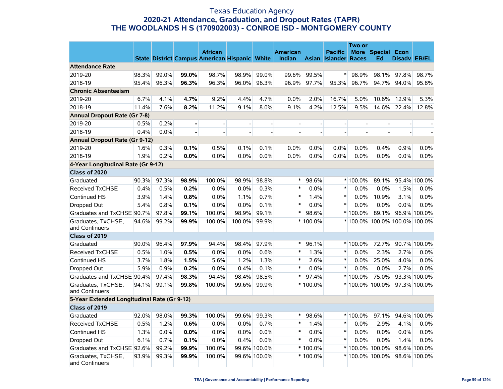#### Texas Education Agency **2020-21 Attendance, Graduation, and Dropout Rates (TAPR) THE WOODLANDS H S (170902003) - CONROE ISD - MONTGOMERY COUNTY**

|                                             |       |       |       |                                               |                |                |                          |                          |                             | Two or            |                               |              |              |
|---------------------------------------------|-------|-------|-------|-----------------------------------------------|----------------|----------------|--------------------------|--------------------------|-----------------------------|-------------------|-------------------------------|--------------|--------------|
|                                             |       |       |       | <b>African</b>                                |                |                | <b>American</b>          |                          | <b>Pacific</b>              |                   | More Special                  | Econ         |              |
|                                             |       |       |       | State District Campus American Hispanic White |                |                | Indian                   |                          | <b>Asian Islander Races</b> |                   | Ed                            | Disady EB/EL |              |
| <b>Attendance Rate</b>                      |       |       |       |                                               |                |                |                          |                          |                             |                   |                               |              |              |
| 2019-20                                     | 98.3% | 99.0% | 99.0% | 98.7%                                         | 98.9%          | 99.0%          | 99.6%                    | 99.5%                    | $\ast$                      | 98.9%             | 98.1%                         | 97.8%        | 98.7%        |
| 2018-19                                     | 95.4% | 96.3% | 96.3% | 96.3%                                         | 96.0%          | 96.3%          | 96.9%                    | 97.7%                    | 95.3%                       | 96.7%             | 94.7%                         | 94.0%        | 95.8%        |
| <b>Chronic Absenteeism</b>                  |       |       |       |                                               |                |                |                          |                          |                             |                   |                               |              |              |
| 2019-20                                     | 6.7%  | 4.1%  | 4.7%  | 9.2%                                          | 4.4%           | 4.7%           | 0.0%                     | 2.0%                     | 16.7%                       | 5.0%              | 10.6%                         | 12.9%        | 5.3%         |
| 2018-19                                     | 11.4% | 7.6%  | 8.2%  | 11.2%                                         | 9.1%           | 8.0%           | 9.1%                     | 4.2%                     | 12.5%                       | 9.5%              | 14.6%                         | 22.4%        | 12.8%        |
| <b>Annual Dropout Rate (Gr 7-8)</b>         |       |       |       |                                               |                |                |                          |                          |                             |                   |                               |              |              |
| 2019-20                                     | 0.5%  | 0.2%  | ä,    | $\overline{\phantom{a}}$                      | $\overline{a}$ | $\overline{a}$ | $\overline{\phantom{a}}$ | $\overline{\phantom{a}}$ | $\overline{a}$              | $\qquad \qquad -$ | $\overline{a}$                |              |              |
| 2018-19                                     | 0.4%  | 0.0%  |       |                                               |                |                |                          |                          |                             |                   |                               |              |              |
| <b>Annual Dropout Rate (Gr 9-12)</b>        |       |       |       |                                               |                |                |                          |                          |                             |                   |                               |              |              |
| 2019-20                                     | 1.6%  | 0.3%  | 0.1%  | 0.5%                                          | 0.1%           | 0.1%           | 0.0%                     | 0.0%                     | 0.0%                        | $0.0\%$           | 0.4%                          | 0.9%         | 0.0%         |
| 2018-19                                     | 1.9%  | 0.2%  | 0.0%  | 0.0%                                          | 0.0%           | 0.0%           | 0.0%                     | 0.0%                     | 0.0%                        | 0.0%              | 0.0%                          | 0.0%         | 0.0%         |
| 4-Year Longitudinal Rate (Gr 9-12)          |       |       |       |                                               |                |                |                          |                          |                             |                   |                               |              |              |
| Class of 2020                               |       |       |       |                                               |                |                |                          |                          |                             |                   |                               |              |              |
| Graduated                                   | 90.3% | 97.3% | 98.9% | 100.0%                                        | 98.9%          | 98.8%          | $\ast$                   | 98.6%                    |                             | $*$ 100.0%        | 89.1%                         |              | 95.4% 100.0% |
| Received TxCHSE                             | 0.4%  | 0.5%  | 0.2%  | 0.0%                                          | 0.0%           | 0.3%           | $\ast$                   | 0.0%                     | $\ast$                      | 0.0%              | 0.0%                          | 1.5%         | 0.0%         |
| <b>Continued HS</b>                         | 3.9%  | 1.4%  | 0.8%  | 0.0%                                          | 1.1%           | 0.7%           | $\ast$                   | 1.4%                     | $\ast$                      | $0.0\%$           | 10.9%                         | 3.1%         | 0.0%         |
| Dropped Out                                 | 5.4%  | 0.8%  | 0.1%  | 0.0%                                          | 0.0%           | 0.1%           | $\ast$                   | 0.0%                     | $\ast$                      | 0.0%              | 0.0%                          | 0.0%         | 0.0%         |
| Graduates and TxCHSE 90.7%                  |       | 97.8% | 99.1% | 100.0%                                        | 98.9%          | 99.1%          | $\ast$                   | 98.6%                    |                             | $*100.0\%$        | 89.1%                         |              | 96.9% 100.0% |
| Graduates, TxCHSE,<br>and Continuers        | 94.6% | 99.2% | 99.9% | 100.0%                                        | 100.0%         | 99.9%          |                          | $*100.0\%$               |                             |                   | * 100.0% 100.0% 100.0% 100.0% |              |              |
| Class of 2019                               |       |       |       |                                               |                |                |                          |                          |                             |                   |                               |              |              |
| Graduated                                   | 90.0% | 96.4% | 97.9% | 94.4%                                         | 98.4%          | 97.9%          | $\ast$                   | 96.1%                    |                             | $*100.0\%$        | 72.7%                         |              | 90.7% 100.0% |
| <b>Received TxCHSE</b>                      | 0.5%  | 1.0%  | 0.5%  | 0.0%                                          | 0.0%           | 0.6%           | $\ast$                   | 1.3%                     | $\ast$                      | 0.0%              | 2.3%                          | 2.7%         | 0.0%         |
| Continued HS                                | 3.7%  | 1.8%  | 1.5%  | 5.6%                                          | 1.2%           | 1.3%           | $\ast$                   | 2.6%                     | $\ast$                      | 0.0%              | 25.0%                         | 4.0%         | 0.0%         |
| Dropped Out                                 | 5.9%  | 0.9%  | 0.2%  | 0.0%                                          | 0.4%           | 0.1%           | $\pmb{\ast}$             | 0.0%                     | $\ast$                      | 0.0%              | 0.0%                          | 2.7%         | 0.0%         |
| Graduates and TxCHSE 90.4%                  |       | 97.4% | 98.3% | 94.4%                                         | 98.4%          | 98.5%          | $\ast$                   | 97.4%                    |                             | $*100.0\%$        | 75.0%                         |              | 93.3% 100.0% |
| Graduates, TxCHSE,<br>and Continuers        | 94.1% | 99.1% | 99.8% | 100.0%                                        | 99.6%          | 99.9%          |                          | $*100.0%$                |                             |                   | * 100.0% 100.0%               |              | 97.3% 100.0% |
| 5-Year Extended Longitudinal Rate (Gr 9-12) |       |       |       |                                               |                |                |                          |                          |                             |                   |                               |              |              |
| Class of 2019                               |       |       |       |                                               |                |                |                          |                          |                             |                   |                               |              |              |
| Graduated                                   | 92.0% | 98.0% | 99.3% | 100.0%                                        | 99.6%          | 99.3%          | $\ast$                   | 98.6%                    |                             | $*100.0\%$        | 97.1%                         |              | 94.6% 100.0% |
| <b>Received TxCHSE</b>                      | 0.5%  | 1.2%  | 0.6%  | 0.0%                                          | 0.0%           | 0.7%           | $\ast$                   | 1.4%                     | $\ast$                      | 0.0%              | 2.9%                          | 4.1%         | 0.0%         |
| Continued HS                                | 1.3%  | 0.0%  | 0.0%  | 0.0%                                          | 0.0%           | 0.0%           | $\ast$                   | 0.0%                     | $\ast$                      | 0.0%              | 0.0%                          | 0.0%         | 0.0%         |
| Dropped Out                                 | 6.1%  | 0.7%  | 0.1%  | 0.0%                                          | 0.4%           | 0.0%           | $\ast$                   | 0.0%                     | $\ast$                      | 0.0%              | 0.0%                          | 1.4%         | 0.0%         |
| Graduates and TxCHSE 92.6%                  |       | 99.2% | 99.9% | 100.0%                                        |                | 99.6% 100.0%   |                          | * 100.0%                 |                             |                   | * 100.0% 100.0%               |              | 98.6% 100.0% |
| Graduates, TxCHSE,<br>and Continuers        | 93.9% | 99.3% | 99.9% | 100.0%                                        |                | 99.6% 100.0%   |                          | $*100.0\%$               |                             |                   | * 100.0% 100.0%               |              | 98.6% 100.0% |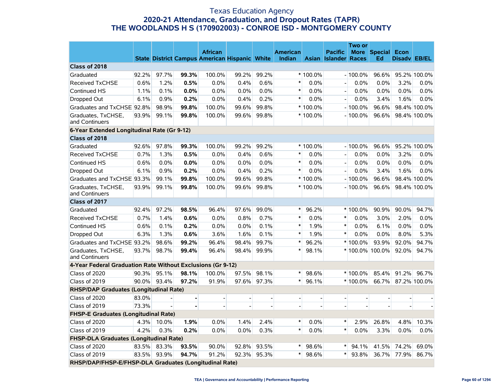#### Texas Education Agency **2020-21 Attendance, Graduation, and Dropout Rates (TAPR) THE WOODLANDS H S (170902003) - CONROE ISD - MONTGOMERY COUNTY**

|                                                             |       |             |                | <b>African</b>                                       |       |       | <b>American</b> |                | <b>Pacific</b>              | <b>Two or</b> | More Special    | Econ               |              |
|-------------------------------------------------------------|-------|-------------|----------------|------------------------------------------------------|-------|-------|-----------------|----------------|-----------------------------|---------------|-----------------|--------------------|--------------|
|                                                             |       |             |                | <b>State District Campus American Hispanic White</b> |       |       | Indian          |                | <b>Asian Islander Races</b> |               | Ed              | Disady EB/EL       |              |
| Class of 2018                                               |       |             |                |                                                      |       |       |                 |                |                             |               |                 |                    |              |
| Graduated                                                   | 92.2% | 97.7%       | 99.3%          | 100.0%                                               | 99.2% | 99.2% |                 | $*100.0\%$     |                             | $-100.0\%$    | 96.6%           |                    | 95.2% 100.0% |
| <b>Received TxCHSE</b>                                      | 0.6%  | 1.2%        | 0.5%           | 0.0%                                                 | 0.4%  | 0.6%  | $\ast$          | 0.0%           | $\mathbf{r}$                | 0.0%          | 0.0%            | 3.2%               | 0.0%         |
| Continued HS                                                | 1.1%  | 0.1%        | 0.0%           | 0.0%                                                 | 0.0%  | 0.0%  | $\ast$          | 0.0%           | $\blacksquare$              | 0.0%          | 0.0%            | 0.0%               | 0.0%         |
| Dropped Out                                                 | 6.1%  | 0.9%        | 0.2%           | 0.0%                                                 | 0.4%  | 0.2%  | $\ast$          | 0.0%           | $\blacksquare$              | 0.0%          | 3.4%            | 1.6%               | 0.0%         |
| Graduates and TxCHSE 92.8%                                  |       | 98.9%       | 99.8%          | 100.0%                                               | 99.6% | 99.8% |                 | $*100.0\%$     |                             | $-100.0%$     | 96.6%           |                    | 98.4% 100.0% |
| Graduates, TxCHSE,<br>and Continuers                        | 93.9% | 99.1%       | 99.8%          | 100.0%                                               | 99.6% | 99.8% |                 | $*100.0\%$     |                             | $-100.0\%$    | 96.6%           |                    | 98.4% 100.0% |
| 6-Year Extended Longitudinal Rate (Gr 9-12)                 |       |             |                |                                                      |       |       |                 |                |                             |               |                 |                    |              |
| Class of 2018                                               |       |             |                |                                                      |       |       |                 |                |                             |               |                 |                    |              |
| Graduated                                                   | 92.6% | 97.8%       | 99.3%          | 100.0%                                               | 99.2% | 99.2% |                 | $*100.0\%$     |                             | $-100.0\%$    | 96.6%           |                    | 95.2% 100.0% |
| <b>Received TxCHSE</b>                                      | 0.7%  | 1.3%        | 0.5%           | 0.0%                                                 | 0.4%  | 0.6%  | $\ast$          | 0.0%           | $\blacksquare$              | 0.0%          | 0.0%            | 3.2%               | 0.0%         |
| Continued HS                                                | 0.6%  | 0.0%        | 0.0%           | 0.0%                                                 | 0.0%  | 0.0%  | $\ast$          | 0.0%           | $\overline{\phantom{a}}$    | 0.0%          | 0.0%            | 0.0%               | 0.0%         |
| Dropped Out                                                 | 6.1%  | 0.9%        | 0.2%           | 0.0%                                                 | 0.4%  | 0.2%  | $\ast$          | 0.0%           | $\blacksquare$              | 0.0%          | 3.4%            | 1.6%               | 0.0%         |
| Graduates and TxCHSE 93.3%                                  |       | 99.1%       | 99.8%          | 100.0%                                               | 99.6% | 99.8% |                 | $*100.0\%$     |                             | $-100.0\%$    | 96.6%           |                    | 98.4% 100.0% |
| Graduates, TxCHSE,<br>and Continuers                        | 93.9% | 99.1%       | 99.8%          | 100.0%                                               | 99.6% | 99.8% |                 | $*100.0\%$     |                             | $-100.0\%$    | 96.6%           |                    | 98.4% 100.0% |
| Class of 2017                                               |       |             |                |                                                      |       |       |                 |                |                             |               |                 |                    |              |
| Graduated                                                   | 92.4% | 97.2%       | 98.5%          | 96.4%                                                | 97.6% | 99.0% | $\ast$          | 96.2%          |                             | $*100.0\%$    | 90.9%           | 90.0%              | 94.7%        |
| <b>Received TxCHSE</b>                                      | 0.7%  | 1.4%        | 0.6%           | 0.0%                                                 | 0.8%  | 0.7%  | $\pmb{\ast}$    | 0.0%           | $\ast$                      | 0.0%          | 3.0%            | 2.0%               | 0.0%         |
| Continued HS                                                | 0.6%  | 0.1%        | 0.2%           | 0.0%                                                 | 0.0%  | 0.1%  | $\ast$          | 1.9%           | $\ast$                      | 0.0%          | 6.1%            | 0.0%               | 0.0%         |
| Dropped Out                                                 | 6.3%  | 1.3%        | 0.6%           | 3.6%                                                 | 1.6%  | 0.1%  | $\ast$          | 1.9%           | $\ast$                      | 0.0%          | 0.0%            | 8.0%               | 5.3%         |
| Graduates and TxCHSE 93.2%                                  |       | 98.6%       | 99.2%          | 96.4%                                                | 98.4% | 99.7% | $\ast$          | 96.2%          |                             | $*100.0\%$    | 93.9%           | 92.0%              | 94.7%        |
| Graduates, TxCHSE,<br>and Continuers                        | 93.7% | 98.7%       | 99.4%          | 96.4%                                                | 98.4% | 99.9% | $\ast$          | 98.1%          |                             |               | * 100.0% 100.0% | 92.0%              | 94.7%        |
| 4-Year Federal Graduation Rate Without Exclusions (Gr 9-12) |       |             |                |                                                      |       |       |                 |                |                             |               |                 |                    |              |
| Class of 2020                                               | 90.3% | 95.1%       | 98.1%          | 100.0%                                               | 97.5% | 98.1% | $\ast$          | 98.6%          |                             | $*100.0\%$    | 85.4%           | 91.2%              | 96.7%        |
| Class of 2019                                               |       | 90.0% 93.4% | 97.2%          | 91.9%                                                | 97.6% | 97.3% | $\ast$          | 96.1%          |                             | $*100.0\%$    |                 | 66.7% 87.2% 100.0% |              |
| <b>RHSP/DAP Graduates (Longitudinal Rate)</b>               |       |             |                |                                                      |       |       |                 |                |                             |               |                 |                    |              |
| Class of 2020                                               | 83.0% |             | $\blacksquare$ | $\blacksquare$                                       |       |       | ٠               | $\overline{a}$ | $\blacksquare$              |               |                 |                    |              |
| Class of 2019                                               | 73.3% |             | ä,             |                                                      |       |       |                 |                | $\overline{\phantom{a}}$    |               |                 |                    |              |
| <b>FHSP-E Graduates (Longitudinal Rate)</b>                 |       |             |                |                                                      |       |       |                 |                |                             |               |                 |                    |              |
| Class of 2020                                               | 4.3%  | 10.0%       | 1.9%           | 0.0%                                                 | 1.4%  | 2.4%  | $\ast$          | 0.0%           | $\ast$                      | 2.9%          | 26.8%           | 4.8%               | 10.3%        |
| Class of 2019                                               | 4.2%  | 0.3%        | 0.2%           | 0.0%                                                 | 0.0%  | 0.3%  | $\ast$          | 0.0%           | $\ast$                      | 0.0%          | 3.3%            | 0.0%               | 0.0%         |
| <b>FHSP-DLA Graduates (Longitudinal Rate)</b>               |       |             |                |                                                      |       |       |                 |                |                             |               |                 |                    |              |
| Class of 2020                                               | 83.5% | 83.3%       | 93.5%          | 90.0%                                                | 92.8% | 93.5% | $\ast$          | 98.6%          | $\ast$                      | 94.1%         | 41.5%           | 74.2%              | 69.0%        |
| Class of 2019                                               | 83.5% | 93.9%       | 94.7%          | 91.2%                                                | 92.3% | 95.3% | $\ast$          | 98.6%          | $\ast$                      | 93.8%         | 36.7%           | 77.9%              | 86.7%        |
| RHSP/DAP/FHSP-E/FHSP-DLA Graduates (Longitudinal Rate)      |       |             |                |                                                      |       |       |                 |                |                             |               |                 |                    |              |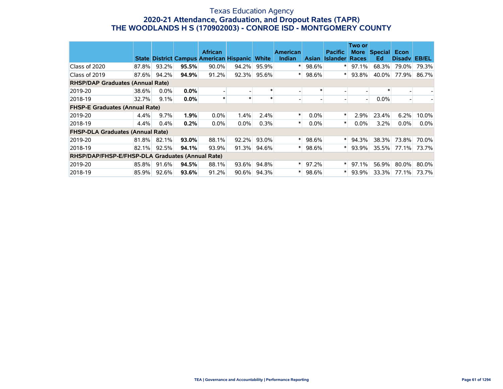#### Texas Education Agency **2020-21 Attendance, Graduation, and Dropout Rates (TAPR) THE WOODLANDS H S (170902003) - CONROE ISD - MONTGOMERY COUNTY**

|                                                  |            |         |         | <b>African</b><br><b>State District Campus American Hispanic</b> |          | White  | <b>American</b><br><b>Indian</b> | Asian   | <b>Pacific</b><br><b>Islander</b> | <b>Two or</b><br><b>More</b><br><b>Races</b> | <b>Special</b><br>Ed | Econ<br><b>Disady</b> | EB/EL       |
|--------------------------------------------------|------------|---------|---------|------------------------------------------------------------------|----------|--------|----------------------------------|---------|-----------------------------------|----------------------------------------------|----------------------|-----------------------|-------------|
| Class of 2020                                    | 87.8%      | 93.2%   | 95.5%   | $90.0\%$                                                         | 94.2%    | 95.9%  | $\ast$                           | 98.6%   | $\ast$                            | 97.1%                                        | 68.3%                | 79.0%                 | 79.3%       |
|                                                  |            |         |         |                                                                  |          |        |                                  |         |                                   |                                              |                      |                       |             |
| Class of 2019                                    | 87.6%      | 94.2%   | 94.9%   | 91.2%                                                            | 92.3%    | 95.6%  | $\ast$                           | 98.6%   | $\ast$                            | 93.8%                                        | 40.0%                | 77.9%                 | 86.7%       |
| <b>RHSP/DAP Graduates (Annual Rate)</b>          |            |         |         |                                                                  |          |        |                                  |         |                                   |                                              |                      |                       |             |
| 2019-20                                          | 38.6%      | $0.0\%$ | $0.0\%$ |                                                                  |          | $\ast$ |                                  | $\ast$  |                                   |                                              |                      |                       |             |
| 2018-19                                          | 32.7%      | 9.1%    | 0.0%    |                                                                  | *        | $\ast$ |                                  |         | $\overline{\phantom{0}}$          | - 1                                          | $0.0\%$              |                       |             |
| <b>FHSP-E Graduates (Annual Rate)</b>            |            |         |         |                                                                  |          |        |                                  |         |                                   |                                              |                      |                       |             |
| 2019-20                                          | 4.4%       | 9.7%    | $1.9\%$ | $0.0\%$                                                          | $1.4\%$  | 2.4%   | $\ast$                           | $0.0\%$ | $\ast$                            | 2.9%                                         | 23.4%                | 6.2%                  | 10.0%       |
| 2018-19                                          | 4.4%       | 0.4%    | 0.2%    | $0.0\%$                                                          | $0.0\%$  | 0.3%   | $\ast$                           | 0.0%    | $\ast$                            | $0.0\%$                                      | 3.2%                 | $0.0\%$               | $0.0\%$     |
| <b>FHSP-DLA Graduates (Annual Rate)</b>          |            |         |         |                                                                  |          |        |                                  |         |                                   |                                              |                      |                       |             |
| 2019-20                                          | $ 81.8\% $ | 82.1%   | 93.0%   | 88.1%                                                            | 92.2%    | 93.0%  | $\ast$                           | 98.6%   | $\ast$                            | 94.3%                                        | 38.3%                | 73.8%                 | 70.0%       |
| 2018-19                                          | 82.1%      | 92.5%   | 94.1%   | 93.9%                                                            | 91.3%    | 94.6%  | $\ast$                           | 98.6%   | $\ast$                            | 93.9%                                        | 35.5%                |                       | 77.1% 73.7% |
| RHSP/DAP/FHSP-E/FHSP-DLA Graduates (Annual Rate) |            |         |         |                                                                  |          |        |                                  |         |                                   |                                              |                      |                       |             |
| 2019-20                                          | 85.8%      | 91.6%   | 94.5%   | 88.1%                                                            | 93.6%    | 94.8%  | $\ast$                           | 97.2%   | $\ast$                            | 97.1%                                        | 56.9%                | 80.0%                 | 80.0%       |
| 2018-19                                          | 85.9%      | 92.6%   | 93.6%   | 91.2%                                                            | $90.6\%$ | 94.3%  | $\ast$                           | 98.6%   | $\ast$                            | 93.9%                                        | 33.3%                | 77.1%                 | 73.7%       |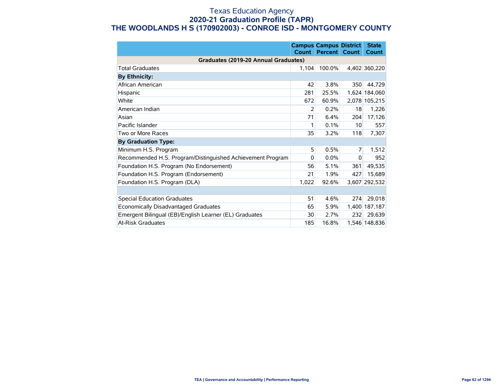### Texas Education Agency **2020-21 Graduation Profile (TAPR) THE WOODLANDS H S (170902003) - CONROE ISD - MONTGOMERY COUNTY**

|                                                            | Count | <b>Campus Campus District</b><br><b>Percent</b> | Count           | <b>State</b><br><b>Count</b> |
|------------------------------------------------------------|-------|-------------------------------------------------|-----------------|------------------------------|
| Graduates (2019-20 Annual Graduates)                       |       |                                                 |                 |                              |
| <b>Total Graduates</b>                                     | 1,104 | 100.0%                                          |                 | 4,402 360,220                |
| <b>By Ethnicity:</b>                                       |       |                                                 |                 |                              |
| African American                                           | 42    | 3.8%                                            | 350             | 44,729                       |
| Hispanic                                                   | 281   | 25.5%                                           | 1,624           | 184,060                      |
| White                                                      | 672   | 60.9%                                           | 2,078           | 105,215                      |
| American Indian                                            | 2     | 0.2%                                            | 18              | 1,226                        |
| Asian                                                      | 71    | 6.4%                                            | 204             | 17,126                       |
| Pacific Islander                                           | 1     | 0.1%                                            | 10 <sup>1</sup> | 557                          |
| Two or More Races                                          | 35    | 3.2%                                            | 118             | 7,307                        |
| <b>By Graduation Type:</b>                                 |       |                                                 |                 |                              |
| Minimum H.S. Program                                       | 5     | 0.5%                                            | 7               | 1,512                        |
| Recommended H.S. Program/Distinguished Achievement Program | 0     | 0.0%                                            | $\mathbf 0$     | 952                          |
| Foundation H.S. Program (No Endorsement)                   | 56    | 5.1%                                            | 361             | 49,535                       |
| Foundation H.S. Program (Endorsement)                      | 21    | 1.9%                                            | 427             | 15,689                       |
| Foundation H.S. Program (DLA)                              | 1,022 | 92.6%                                           |                 | 3,607 292,532                |
|                                                            |       |                                                 |                 |                              |
| <b>Special Education Graduates</b>                         | 51    | 4.6%                                            | 274             | 29,018                       |
| Economically Disadvantaged Graduates                       | 65    | 5.9%                                            | 1,400           | 187,187                      |
| Emergent Bilingual (EB)/English Learner (EL) Graduates     | 30    | 2.7%                                            | 232             | 29,639                       |
| At-Risk Graduates                                          | 185   | 16.8%                                           |                 | 1,546 148,836                |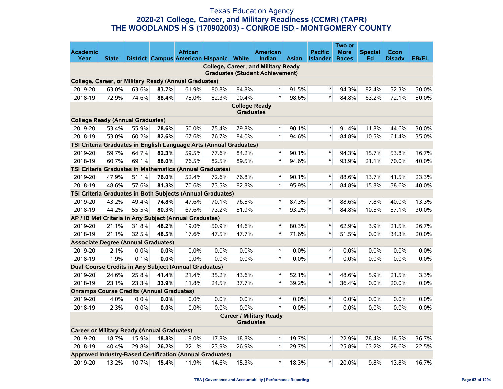Texas Education Agency **2020-21 College, Career, and Military Readiness (CCMR) (TAPR) THE WOODLANDS H S (170902003) - CONROE ISD - MONTGOMERY COUNTY**

| <b>Academic</b>                                                    |              |       |         | <b>African</b>                          |       |                                          | American                                                                             |              | <b>Pacific</b>  | Two or<br><b>More</b> | <b>Special</b> | Econ          |       |
|--------------------------------------------------------------------|--------------|-------|---------|-----------------------------------------|-------|------------------------------------------|--------------------------------------------------------------------------------------|--------------|-----------------|-----------------------|----------------|---------------|-------|
| Year                                                               | <b>State</b> |       |         | District Campus American Hispanic White |       |                                          | Indian                                                                               | <b>Asian</b> | <b>Islander</b> | <b>Races</b>          | Ed             | <b>Disady</b> | EB/EL |
|                                                                    |              |       |         |                                         |       |                                          | <b>College, Career, and Military Ready</b><br><b>Graduates (Student Achievement)</b> |              |                 |                       |                |               |       |
| College, Career, or Military Ready (Annual Graduates)              |              |       |         |                                         |       |                                          |                                                                                      |              |                 |                       |                |               |       |
| 2019-20                                                            | 63.0%        | 63.6% | 83.7%   | 61.9%                                   | 80.8% | 84.8%                                    | $\ast$                                                                               | 91.5%        | $\ast$          | 94.3%                 | 82.4%          | 52.3%         | 50.0% |
| 2018-19                                                            | 72.9%        | 74.6% | 88.4%   | 75.0%                                   | 82.3% | 90.4%                                    | $\ast$                                                                               | 98.6%        | $\ast$          | 84.8%                 | 63.2%          | 72.1%         | 50.0% |
|                                                                    |              |       |         |                                         |       | <b>College Ready</b><br><b>Graduates</b> |                                                                                      |              |                 |                       |                |               |       |
| <b>College Ready (Annual Graduates)</b>                            |              |       |         |                                         |       |                                          |                                                                                      |              |                 |                       |                |               |       |
| 2019-20                                                            | 53.4%        | 55.9% | 78.6%   | 50.0%                                   | 75.4% | 79.8%                                    | $\ast$                                                                               | 90.1%        | $\ast$          | 91.4%                 | 11.8%          | 44.6%         | 30.0% |
| 2018-19                                                            | 53.0%        | 60.2% | 82.6%   | 67.6%                                   | 76.7% | 84.0%                                    | $\ast$                                                                               | 94.6%        | $\ast$          | 84.8%                 | 10.5%          | 61.4%         | 35.0% |
| TSI Criteria Graduates in English Language Arts (Annual Graduates) |              |       |         |                                         |       |                                          |                                                                                      |              |                 |                       |                |               |       |
| 2019-20                                                            | 59.7%        | 64.7% | 82.3%   | 59.5%                                   | 77.6% | 84.2%                                    | $\ast$                                                                               | 90.1%        | $\ast$          | 94.3%                 | 15.7%          | 53.8%         | 16.7% |
| 2018-19                                                            | 60.7%        | 69.1% | 88.0%   | 76.5%                                   | 82.5% | 89.5%                                    | $\ast$                                                                               | 94.6%        | $\ast$          | 93.9%                 | 21.1%          | 70.0%         | 40.0% |
| TSI Criteria Graduates in Mathematics (Annual Graduates)           |              |       |         |                                         |       |                                          |                                                                                      |              |                 |                       |                |               |       |
| 2019-20                                                            | 47.9%        | 51.1% | 76.0%   | 52.4%                                   | 72.6% | 76.8%                                    | $\ast$                                                                               | 90.1%        | $\ast$          | 88.6%                 | 13.7%          | 41.5%         | 23.3% |
| 2018-19                                                            | 48.6%        | 57.6% | 81.3%   | 70.6%                                   | 73.5% | 82.8%                                    | $\ast$                                                                               | 95.9%        | $\ast$          | 84.8%                 | 15.8%          | 58.6%         | 40.0% |
| TSI Criteria Graduates in Both Subjects (Annual Graduates)         |              |       |         |                                         |       |                                          |                                                                                      |              |                 |                       |                |               |       |
| 2019-20                                                            | 43.2%        | 49.4% | 74.8%   | 47.6%                                   | 70.1% | 76.5%                                    | $\ast$                                                                               | 87.3%        | $\ast$          | 88.6%                 | 7.8%           | 40.0%         | 13.3% |
| 2018-19                                                            | 44.2%        | 55.5% | 80.3%   | 67.6%                                   | 73.2% | 81.9%                                    | $\ast$                                                                               | 93.2%        | $\ast$          | 84.8%                 | 10.5%          | 57.1%         | 30.0% |
| AP / IB Met Criteria in Any Subject (Annual Graduates)             |              |       |         |                                         |       |                                          |                                                                                      |              |                 |                       |                |               |       |
| 2019-20                                                            | 21.1%        | 31.8% | 48.2%   | 19.0%                                   | 50.9% | 44.6%                                    | $\ast$                                                                               | 80.3%        | $\ast$          | 62.9%                 | 3.9%           | 21.5%         | 26.7% |
| 2018-19                                                            | 21.1%        | 32.5% | 48.5%   | 17.6%                                   | 47.5% | 47.7%                                    | $\ast$                                                                               | 71.6%        | $\ast$          | 51.5%                 | 0.0%           | 34.3%         | 20.0% |
| <b>Associate Degree (Annual Graduates)</b>                         |              |       |         |                                         |       |                                          |                                                                                      |              |                 |                       |                |               |       |
| 2019-20                                                            | 2.1%         | 0.0%  | $0.0\%$ | $0.0\%$                                 | 0.0%  | 0.0%                                     | $\ast$                                                                               | $0.0\%$      | $\ast$          | $0.0\%$               | $0.0\%$        | $0.0\%$       | 0.0%  |
| 2018-19                                                            | 1.9%         | 0.1%  | 0.0%    | 0.0%                                    | 0.0%  | 0.0%                                     | $\ast$                                                                               | 0.0%         | $\ast$          | 0.0%                  | 0.0%           | 0.0%          | 0.0%  |
| Dual Course Credits in Any Subject (Annual Graduates)              |              |       |         |                                         |       |                                          |                                                                                      |              |                 |                       |                |               |       |
| 2019-20                                                            | 24.6%        | 25.8% | 41.4%   | 21.4%                                   | 35.2% | 43.6%                                    | $\ast$                                                                               | 52.1%        | $\ast$          | 48.6%                 | 5.9%           | 21.5%         | 3.3%  |
| 2018-19                                                            | 23.1%        | 23.3% | 33.9%   | 11.8%                                   | 24.5% | 37.7%                                    | $\ast$                                                                               | 39.2%        | $\ast$          | 36.4%                 | 0.0%           | 20.0%         | 0.0%  |
| <b>Onramps Course Credits (Annual Graduates)</b>                   |              |       |         |                                         |       |                                          |                                                                                      |              |                 |                       |                |               |       |
| 2019-20                                                            | 4.0%         | 0.0%  | 0.0%    | 0.0%                                    | 0.0%  | 0.0%                                     | $\ast$                                                                               | 0.0%         | $\ast$          | $0.0\%$               | $0.0\%$        | $0.0\%$       | 0.0%  |
| 2018-19                                                            | 2.3%         | 0.0%  | 0.0%    | 0.0%                                    | 0.0%  | 0.0%                                     | $\ast$                                                                               | 0.0%         | $\ast$          | 0.0%                  | 0.0%           | 0.0%          | 0.0%  |
|                                                                    |              |       |         |                                         |       | <b>Graduates</b>                         | <b>Career / Military Ready</b>                                                       |              |                 |                       |                |               |       |
| <b>Career or Military Ready (Annual Graduates)</b>                 |              |       |         |                                         |       |                                          |                                                                                      |              |                 |                       |                |               |       |
| 2019-20                                                            | 18.7%        | 15.9% | 18.8%   | 19.0%                                   | 17.8% | 18.8%                                    | $\ast$                                                                               | 19.7%        | $\ast$          | 22.9%                 | 78.4%          | 18.5%         | 36.7% |
| 2018-19                                                            | 40.4%        | 29.8% | 26.2%   | 22.1%                                   | 23.9% | 26.9%                                    | $\ast$                                                                               | 29.7%        | $\ast$          | 25.8%                 | 63.2%          | 28.6%         | 22.5% |
| Approved Industry-Based Certification (Annual Graduates)           |              |       |         |                                         |       |                                          |                                                                                      |              |                 |                       |                |               |       |
| 2019-20                                                            | 13.2%        | 10.7% | 15.4%   | 11.9%                                   | 14.6% | 15.3%                                    | $\ast$                                                                               | 18.3%        | $\ast$          | 20.0%                 | 9.8%           | 13.8%         | 16.7% |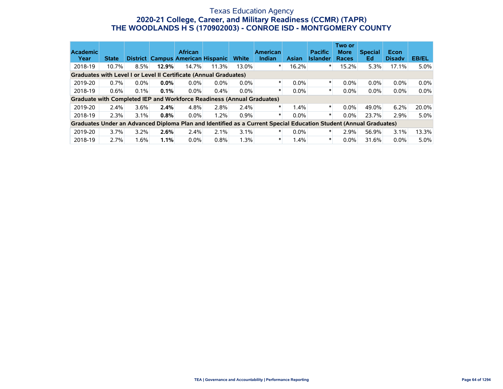#### Texas Education Agency **2020-21 College, Career, and Military Readiness (CCMR) (TAPR) THE WOODLANDS H S (170902003) - CONROE ISD - MONTGOMERY COUNTY**

| <b>Academic</b><br>Year                                                                                           | <b>State</b> |         |         | <b>African</b><br>District Campus American Hispanic |         | <b>White</b> | <b>American</b><br>Indian | <b>Asian</b> | <b>Pacific</b><br><b>Islander</b> | Two or<br><b>More</b><br><b>Races</b> | <b>Special</b><br>Ed. | Econ<br><b>Disady</b> | EB/EL   |
|-------------------------------------------------------------------------------------------------------------------|--------------|---------|---------|-----------------------------------------------------|---------|--------------|---------------------------|--------------|-----------------------------------|---------------------------------------|-----------------------|-----------------------|---------|
| 2018-19                                                                                                           | 10.7%        | 8.5%    | 12.9%   | 14.7%                                               | 11.3%   | 13.0%        |                           | 16.2%        | $\ast$                            | 15.2%                                 | 5.3%                  | 17.1%                 | 5.0%    |
| Graduates with Level I or Level II Certificate (Annual Graduates)                                                 |              |         |         |                                                     |         |              |                           |              |                                   |                                       |                       |                       |         |
| 2019-20                                                                                                           | 0.7%         | $0.0\%$ | $0.0\%$ | $0.0\%$                                             | $0.0\%$ | $0.0\%$      |                           | $0.0\%$      | $\ast$                            | $0.0\%$                               | $0.0\%$               | $0.0\%$               | $0.0\%$ |
| 2018-19                                                                                                           | 0.6%         | $0.1\%$ | 0.1%    | $0.0\%$                                             | $0.4\%$ | $0.0\%$      |                           | $0.0\%$      | $\ast$                            | $0.0\%$                               | $0.0\%$               | $0.0\%$               | $0.0\%$ |
| <b>Graduate with Completed IEP and Workforce Readiness (Annual Graduates)</b>                                     |              |         |         |                                                     |         |              |                           |              |                                   |                                       |                       |                       |         |
| 2019-20                                                                                                           | 2.4%         | $3.6\%$ | 2.4%    | $4.8\%$                                             | $2.8\%$ | $2.4\%$      |                           | 1.4%         | $\ast$                            | $0.0\%$                               | 49.0%                 | 6.2%                  | 20.0%   |
| 2018-19                                                                                                           | 2.3%         | $3.1\%$ | 0.8%    | $0.0\%$                                             | 1.2%    | 0.9%         |                           | $0.0\%$      | $\ast$                            | $0.0\%$                               | 23.7%                 | 2.9%                  | 5.0%    |
| Graduates Under an Advanced Diploma Plan and Identified as a Current Special Education Student (Annual Graduates) |              |         |         |                                                     |         |              |                           |              |                                   |                                       |                       |                       |         |
| 2019-20                                                                                                           | 3.7%         | 3.2%    | 2.6%    | 2.4%                                                | 2.1%    | 3.1%         |                           | $0.0\%$      |                                   | 2.9%                                  | 56.9%                 | 3.1%                  | 13.3%   |
| 2018-19                                                                                                           | 2.7%         | 1.6%    | 1.1%    | $0.0\%$                                             | 0.8%    | 1.3%         |                           | $1.4\%$      | $\ast$                            | $0.0\%$                               | 31.6%                 | $0.0\%$               | 5.0%    |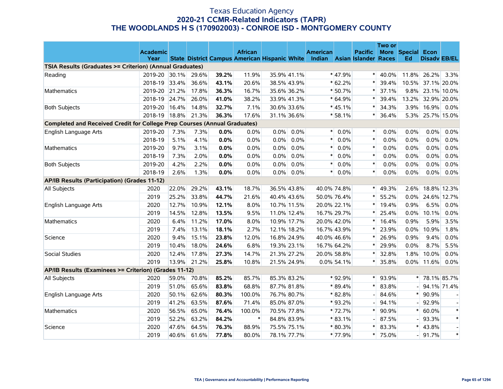#### Texas Education Agency **2020-21 CCMR-Related Indicators (TAPR) THE WOODLANDS H S (170902003) - CONROE ISD - MONTGOMERY COUNTY**

|                                                                                  |                 |       |       |       |                |      |             |                                                                           |               |                | Two or |              |                     |        |
|----------------------------------------------------------------------------------|-----------------|-------|-------|-------|----------------|------|-------------|---------------------------------------------------------------------------|---------------|----------------|--------|--------------|---------------------|--------|
|                                                                                  | <b>Academic</b> |       |       |       | <b>African</b> |      |             | <b>American</b>                                                           |               | <b>Pacific</b> |        | More Special | Econ                |        |
|                                                                                  | Year            |       |       |       |                |      |             | State District Campus American Hispanic White Indian Asian Islander Races |               |                |        | Ed.          | <b>Disadv EB/EL</b> |        |
| TSIA Results (Graduates >= Criterion) (Annual Graduates)                         |                 |       |       |       |                |      |             |                                                                           |               |                |        |              |                     |        |
| Reading                                                                          | 2019-20         | 30.1% | 29.6% | 39.2% | 11.9%          |      | 35.9% 41.1% |                                                                           | $*47.9%$      | $\ast$         | 40.0%  |              | 11.8% 26.2%         | 3.3%   |
|                                                                                  | 2018-19         | 33.4% | 36.6% | 43.1% | 20.6%          |      | 38.5% 43.9% |                                                                           | $*62.2%$      | $\ast$         | 39.4%  | 10.5%        | 37.1% 20.0%         |        |
| Mathematics                                                                      | 2019-20         | 21.2% | 17.8% | 36.3% | 16.7%          |      | 35.6% 36.2% |                                                                           | $*50.7%$      | $\ast$         | 37.1%  |              | 9.8% 23.1% 10.0%    |        |
|                                                                                  | 2018-19         | 24.7% | 26.0% | 41.0% | 38.2%          |      | 33.9% 41.3% |                                                                           | $*64.9%$      | $\ast$         | 39.4%  | 13.2%        | 32.9% 20.0%         |        |
| <b>Both Subjects</b>                                                             | 2019-20         | 16.4% | 14.8% | 32.7% | 7.1%           |      | 30.6% 33.6% |                                                                           | $*$ 45.1%     | $\ast$         | 34.3%  | 3.9%         | 16.9%               | 0.0%   |
|                                                                                  | 2018-19         | 18.8% | 21.3% | 36.3% | 17.6%          |      | 31.1% 36.6% |                                                                           | $*$ 58.1%     | $\ast$         | 36.4%  | 5.3%         | 25.7% 15.0%         |        |
| <b>Completed and Received Credit for College Prep Courses (Annual Graduates)</b> |                 |       |       |       |                |      |             |                                                                           |               |                |        |              |                     |        |
| English Language Arts                                                            | 2019-20         | 7.3%  | 7.3%  | 0.0%  | 0.0%           | 0.0% | 0.0%        | $\ast$                                                                    | 0.0%          | $\ast$         | 0.0%   | 0.0%         | 0.0%                | 0.0%   |
|                                                                                  | 2018-19         | 5.1%  | 4.1%  | 0.0%  | 0.0%           | 0.0% | 0.0%        | $\ast$                                                                    | 0.0%          | $\ast$         | 0.0%   | 0.0%         | 0.0%                | 0.0%   |
| <b>Mathematics</b>                                                               | 2019-20         | 9.7%  | 3.1%  | 0.0%  | 0.0%           | 0.0% | 0.0%        | $\ast$                                                                    | 0.0%          | $\ast$         | 0.0%   | 0.0%         | 0.0%                | 0.0%   |
|                                                                                  | 2018-19         | 7.3%  | 2.0%  | 0.0%  | 0.0%           | 0.0% | 0.0%        | $\ast$                                                                    | 0.0%          | $\ast$         | 0.0%   | 0.0%         | 0.0%                | 0.0%   |
| <b>Both Subjects</b>                                                             | 2019-20         | 4.2%  | 2.2%  | 0.0%  | 0.0%           | 0.0% | 0.0%        | $\ast$                                                                    | 0.0%          | $\ast$         | 0.0%   | 0.0%         | 0.0%                | 0.0%   |
|                                                                                  | 2018-19         | 2.6%  | 1.3%  | 0.0%  | 0.0%           | 0.0% | 0.0%        | $\ast$                                                                    | 0.0%          | $\ast$         | 0.0%   | 0.0%         | 0.0%                | 0.0%   |
| AP/IB Results (Participation) (Grades 11-12)                                     |                 |       |       |       |                |      |             |                                                                           |               |                |        |              |                     |        |
| All Subjects                                                                     | 2020            | 22.0% | 29.2% | 43.1% | 18.7%          |      | 36.5% 43.8% |                                                                           | 40.0% 74.8%   | $\ast$         | 49.3%  | 2.6%         | 18.8% 12.3%         |        |
|                                                                                  | 2019            | 25.2% | 33.8% | 44.7% | 21.6%          |      | 40.4% 43.6% |                                                                           | 50.0% 76.4%   | $\ast$         | 55.2%  | 0.0%         | 24.6% 12.7%         |        |
| English Language Arts                                                            | 2020            | 12.7% | 10.9% | 12.1% | 8.0%           |      | 10.7% 11.5% |                                                                           | 20.0% 22.1%   | $\ast$         | 19.4%  | 0.9%         | 6.5%                | 0.0%   |
|                                                                                  | 2019            | 14.5% | 12.8% | 13.5% | 9.5%           |      | 11.0% 12.4% |                                                                           | 16.7% 29.7%   |                | 25.4%  | 0.0%         | 10.1%               | 0.0%   |
| Mathematics                                                                      | 2020            | 6.4%  | 11.2% | 17.0% | 8.0%           |      | 10.9% 17.7% |                                                                           | 20.0% 42.0%   |                | 16.4%  | 0.9%         | 5.9%                | 3.5%   |
|                                                                                  | 2019            | 7.4%  | 13.1% | 18.1% | 2.7%           |      | 12.1% 18.2% |                                                                           | 16.7% 43.9%   |                | 23.9%  | 0.0%         | 10.9%               | 1.8%   |
| Science                                                                          | 2020            | 9.4%  | 15.1% | 23.8% | 12.0%          |      | 16.8% 24.9% |                                                                           | 40.0% 46.6%   |                | 26.9%  | 0.9%         | 9.4%                | 0.0%   |
|                                                                                  | 2019            | 10.4% | 18.0% | 24.6% | 6.8%           |      | 19.3% 23.1% |                                                                           | 16.7% 64.2%   |                | 29.9%  | 0.0%         | 8.7%                | 5.5%   |
| Social Studies                                                                   | 2020            | 12.4% | 17.8% | 27.3% | 14.7%          |      | 21.3% 27.2% |                                                                           | 20.0% 58.8%   |                | 32.8%  | 1.8%         | 10.0%               | 0.0%   |
|                                                                                  | 2019            | 13.9% | 21.2% | 25.8% | 10.8%          |      | 21.5% 24.9% |                                                                           | $0.0\%$ 54.1% | $\ast$         | 35.8%  | $0.0\%$      | 11.6%               | 0.0%   |
| AP/IB Results (Examinees >= Criterion) (Grades 11-12)                            |                 |       |       |       |                |      |             |                                                                           |               |                |        |              |                     |        |
| All Subjects                                                                     | 2020            | 59.0% | 70.8% | 85.2% | 85.7%          |      | 85.3% 83.2% |                                                                           | $*92.9%$      | $\ast$         | 93.9%  |              | * 78.1% 85.7%       |        |
|                                                                                  | 2019            | 51.0% | 65.6% | 83.8% | 68.8%          |      | 87.7% 81.8% |                                                                           | $*89.4%$      | $\ast$         | 83.8%  |              | 94.1% 71.4%         |        |
| English Language Arts                                                            | 2020            | 50.1% | 62.6% | 80.3% | 100.0%         |      | 76.7% 80.7% |                                                                           | $*82.8%$      |                | 84.6%  | *            | 90.9%               |        |
|                                                                                  | 2019            | 41.2% | 63.5% | 87.6% | 71.4%          |      | 85.0% 87.0% |                                                                           | $*93.2%$      |                | 94.1%  |              | 92.9%               |        |
| Mathematics                                                                      | 2020            | 56.5% | 65.0% | 76.4% | 100.0%         |      | 70.5% 77.8% |                                                                           | $*72.7%$      | $\ast$         | 90.9%  | *            | 60.0%               | $\ast$ |
|                                                                                  | 2019            | 52.2% | 63.2% | 84.2% | $\ast$         |      | 84.8% 83.9% |                                                                           | $*83.1%$      |                | 87.5%  |              | 93.3%               | $\ast$ |
| Science                                                                          | 2020            | 47.6% | 64.5% | 76.3% | 88.9%          |      | 75.5% 75.1% |                                                                           | $*80.3%$      | $\ast$         | 83.3%  | *            | 43.8%               |        |
|                                                                                  | 2019            |       | 61.6% |       | 80.0%          |      |             |                                                                           |               | $\ast$         |        |              |                     | $\ast$ |
|                                                                                  |                 | 40.6% |       | 77.8% |                |      | 78.1% 77.7% |                                                                           | $*77.9%$      |                | 75.0%  |              | 91.7%               |        |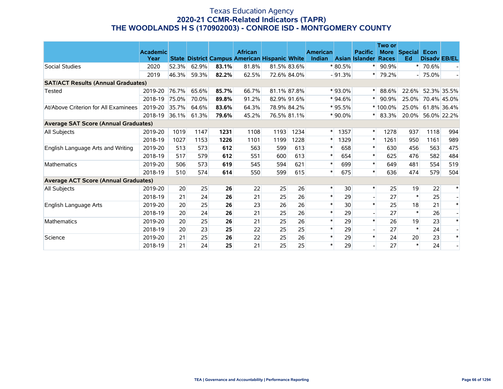#### Texas Education Agency **2020-21 CCMR-Related Indicators (TAPR) THE WOODLANDS H S (170902003) - CONROE ISD - MONTGOMERY COUNTY**

|                                             | <b>Academic</b><br>Year |       |       |       | <b>African</b><br><b>State District Campus American Hispanic White</b> |             |      | <b>American</b><br>Indian |           | <b>Pacific</b><br>Asian Islander | Two or<br><b>More</b><br><b>Races</b> | Special<br>Ed | Econ<br><b>Disady EB/EL</b> |        |
|---------------------------------------------|-------------------------|-------|-------|-------|------------------------------------------------------------------------|-------------|------|---------------------------|-----------|----------------------------------|---------------------------------------|---------------|-----------------------------|--------|
| Social Studies                              | 2020                    | 52.3% | 62.9% | 83.1% | 81.8%                                                                  | 81.5% 83.6% |      |                           | $*80.5%$  | $\ast$                           | 90.9%                                 | $\ast$        | 70.6%                       |        |
|                                             | 2019                    | 46.3% | 59.3% | 82.2% | 62.5%                                                                  | 72.6% 84.0% |      |                           | $-91.3%$  | $\ast$                           | 79.2%                                 |               | 75.0%                       |        |
| <b>SAT/ACT Results (Annual Graduates)</b>   |                         |       |       |       |                                                                        |             |      |                           |           |                                  |                                       |               |                             |        |
| Tested                                      | 2019-20                 | 76.7% | 65.6% | 85.7% | 66.7%                                                                  | 81.1% 87.8% |      |                           | $*93.0\%$ | $\ast$                           | 88.6%                                 | 22.6%         | 52.3% 35.5%                 |        |
|                                             | 2018-19                 | 75.0% | 70.0% | 89.8% | 91.2%                                                                  | 82.9% 91.6% |      |                           | $*94.6%$  | $\ast$                           | 90.9%                                 | 25.0%         | 70.4% 45.0%                 |        |
| At/Above Criterion for All Examinees        | 2019-20                 | 35.7% | 64.6% | 83.6% | 64.3%                                                                  | 78.9% 84.2% |      |                           | $*95.5%$  |                                  | $*100.0\%$                            | 25.0%         | 61.8% 36.4%                 |        |
|                                             | 2018-19                 | 36.1% | 61.3% | 79.6% | 45.2%                                                                  | 76.5% 81.1% |      |                           | $*90.0\%$ | $\ast$                           | 83.3%                                 | 20.0%         | 56.0% 22.2%                 |        |
| <b>Average SAT Score (Annual Graduates)</b> |                         |       |       |       |                                                                        |             |      |                           |           |                                  |                                       |               |                             |        |
| <b>All Subjects</b>                         | 2019-20                 | 1019  | 1147  | 1231  | 1108                                                                   | 1193        | 1234 | $\ast$                    | 1357      | $\ast$                           | 1278                                  | 937           | 1118                        | 994    |
|                                             | 2018-19                 | 1027  | 1153  | 1226  | 1101                                                                   | 1199        | 1228 | $\ast$                    | 1329      | $\ast$                           | 1261                                  | 950           | 1161                        | 989    |
| English Language Arts and Writing           | 2019-20                 | 513   | 573   | 612   | 563                                                                    | 599         | 613  |                           | 658       | $\ast$                           | 630                                   | 456           | 563                         | 475    |
|                                             | 2018-19                 | 517   | 579   | 612   | 551                                                                    | 600         | 613  | $\ast$                    | 654       | $\ast$                           | 625                                   | 476           | 582                         | 484    |
| <b>Mathematics</b>                          | 2019-20                 | 506   | 573   | 619   | 545                                                                    | 594         | 621  | $\ast$                    | 699       | $\ast$                           | 649                                   | 481           | 554                         | 519    |
|                                             | 2018-19                 | 510   | 574   | 614   | 550                                                                    | 599         | 615  | $\ast$                    | 675       | $\ast$                           | 636                                   | 474           | 579                         | 504    |
| <b>Average ACT Score (Annual Graduates)</b> |                         |       |       |       |                                                                        |             |      |                           |           |                                  |                                       |               |                             |        |
| <b>All Subjects</b>                         | 2019-20                 | 20    | 25    | 26    | 22                                                                     | 25          | 26   | $\ast$                    | 30        | $\ast$                           | 25                                    | 19            | 22                          | $\ast$ |
|                                             | 2018-19                 | 21    | 24    | 26    | 21                                                                     | 25          | 26   |                           | 29        |                                  | 27                                    |               | 25                          |        |
| English Language Arts                       | 2019-20                 | 20    | 25    | 26    | 23                                                                     | 26          | 26   |                           | 30        | $\ast$                           | 25                                    | 18            | 21                          | $\ast$ |
|                                             | 2018-19                 | 20    | 24    | 26    | 21                                                                     | 25          | 26   |                           | 29        |                                  | 27                                    |               | 26                          |        |
| <b>Mathematics</b>                          | 2019-20                 | 20    | 25    | 26    | 21                                                                     | 25          | 26   | $\ast$                    | 29        | $\ast$                           | 26                                    | 19            | 23                          | $\ast$ |
|                                             | 2018-19                 | 20    | 23    | 25    | 22                                                                     | 25          | 25   |                           | 29        |                                  | 27                                    |               | 24                          |        |
| Science                                     | 2019-20                 | 21    | 25    | 26    | 22                                                                     | 25          | 26   |                           | 29        | $\ast$                           | 24                                    | 20            | 23                          | $\ast$ |
|                                             | 2018-19                 | 21    | 24    | 25    | 21                                                                     | 25          | 25   |                           | 29        |                                  | 27                                    |               | 24                          |        |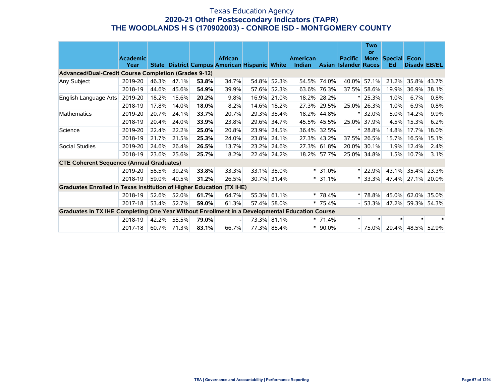#### Texas Education Agency **2020-21 Other Postsecondary Indicators (TAPR) THE WOODLANDS H S (170902003) - CONROE ISD - MONTGOMERY COUNTY**

|                                                                                                |                         |       |       |       |                                                                 |       |             |                    |             |                                               | <b>Two</b><br>or |                                |                     |             |
|------------------------------------------------------------------------------------------------|-------------------------|-------|-------|-------|-----------------------------------------------------------------|-------|-------------|--------------------|-------------|-----------------------------------------------|------------------|--------------------------------|---------------------|-------------|
|                                                                                                | <b>Academic</b><br>Year |       |       |       | <b>African</b><br>State District Campus American Hispanic White |       |             | American<br>Indian |             | <b>Pacific</b><br><b>Asian Islander Races</b> |                  | <b>More Special Econ</b><br>Ed | <b>Disady EB/EL</b> |             |
| Advanced/Dual-Credit Course Completion (Grades 9-12)                                           |                         |       |       |       |                                                                 |       |             |                    |             |                                               |                  |                                |                     |             |
| Any Subject                                                                                    | 2019-20                 | 46.3% | 47.1% | 53.8% | 34.7%                                                           |       | 54.8% 52.3% |                    | 54.5% 74.0% |                                               | 40.0% 57.1%      | 21.2%                          | 35.8%               | 43.7%       |
|                                                                                                | 2018-19                 | 44.6% | 45.6% | 54.9% | 39.9%                                                           | 57.6% | 52.3%       | 63.6%              | 76.3%       | 37.5%                                         | 58.6%            | 19.9%                          | 36.9%               | 38.1%       |
| English Language Arts                                                                          | 2019-20                 | 18.2% | 15.6% | 20.2% | 9.8%                                                            |       | 16.9% 21.0% | 18.2%              | 28.2%       |                                               | 25.3%            | 1.0%                           | 6.7%                | 0.8%        |
|                                                                                                | 2018-19                 | 17.8% | 14.0% | 18.0% | 8.2%                                                            |       | 14.6% 18.2% | 27.3%              | 29.5%       |                                               | 25.0% 26.3%      | 1.0%                           | 6.9%                | 0.8%        |
| Mathematics                                                                                    | 2019-20                 | 20.7% | 24.1% | 33.7% | 20.7%                                                           |       | 29.3% 35.4% | 18.2%              | 44.8%       |                                               | $*$ 32.0%        | 5.0%                           | 14.2%               | 9.9%        |
|                                                                                                | 2018-19                 | 20.4% | 24.0% | 33.9% | 23.8%                                                           |       | 29.6% 34.7% | 45.5%              | 45.5%       |                                               | 25.0% 37.9%      | 4.5%                           | 15.3%               | 6.2%        |
| Science                                                                                        | 2019-20                 | 22.4% | 22.2% | 25.0% | 20.8%                                                           |       | 23.9% 24.5% | 36.4%              | 32.5%       |                                               | $*$ 28.8%        | 14.8%                          | 17.7%               | 18.0%       |
|                                                                                                | 2018-19                 | 21.7% | 21.5% | 25.3% | 24.0%                                                           |       | 23.8% 24.1% | 27.3%              | 43.2%       | 37.5%                                         | 26.5%            | 15.7%                          | 16.5%               | 15.1%       |
| Social Studies                                                                                 | 2019-20                 | 24.6% | 26.4% | 26.5% | 13.7%                                                           |       | 23.2% 24.6% | 27.3%              | 61.8%       |                                               | 20.0% 30.1%      | 1.9%                           | 12.4%               | 2.4%        |
|                                                                                                | 2018-19                 | 23.6% | 25.6% | 25.7% | 8.2%                                                            |       | 22.4% 24.2% | 18.2%              | 57.7%       | 25.0%                                         | 34.8%            | 1.5%                           | 10.7%               | 3.1%        |
| <b>CTE Coherent Sequence (Annual Graduates)</b>                                                |                         |       |       |       |                                                                 |       |             |                    |             |                                               |                  |                                |                     |             |
|                                                                                                | 2019-20                 | 58.5% | 39.2% | 33.8% | 33.3%                                                           |       | 33.1% 35.0% | $\ast$             | 31.0%       |                                               | $*$ 22.9%        |                                | 43.1% 35.4% 23.3%   |             |
|                                                                                                | 2018-19                 | 59.0% | 40.5% | 31.2% | 26.5%                                                           |       | 30.7% 31.4% | $\ast$             | 31.1%       |                                               | $*$ 33.3%        |                                | 47.4% 27.1% 20.0%   |             |
| Graduates Enrolled in Texas Institution of Higher Education (TX IHE)                           |                         |       |       |       |                                                                 |       |             |                    |             |                                               |                  |                                |                     |             |
|                                                                                                | 2018-19                 | 52.6% | 52.0% | 61.7% | 64.7%                                                           |       | 55.3% 61.1% |                    | $*$ 78.4%   |                                               | $*$ 78.8%        | 45.0%                          |                     | 62.0% 35.0% |
|                                                                                                | 2017-18                 | 53.4% | 52.7% | 59.0% | 61.3%                                                           |       | 57.4% 58.0% | $\ast$             | 75.4%       |                                               | $-53.3\%$        | 47.2%                          | 59.3%               | 54.3%       |
| Graduates in TX IHE Completing One Year Without Enrollment in a Developmental Education Course |                         |       |       |       |                                                                 |       |             |                    |             |                                               |                  |                                |                     |             |
|                                                                                                | 2018-19                 | 42.2% | 55.5% | 79.0% |                                                                 |       | 73.3% 81.1% |                    | $*$ 71.4%   | $\ast$                                        | $\ast$           | $\ast$                         | $\ast$              |             |
|                                                                                                | 2017-18                 | 60.7% | 71.3% | 83.1% | 66.7%                                                           |       | 77.3% 85.4% | $\ast$             | 90.0%       |                                               | $- 75.0\%$       | 29.4%                          | 48.5%               | 52.9%       |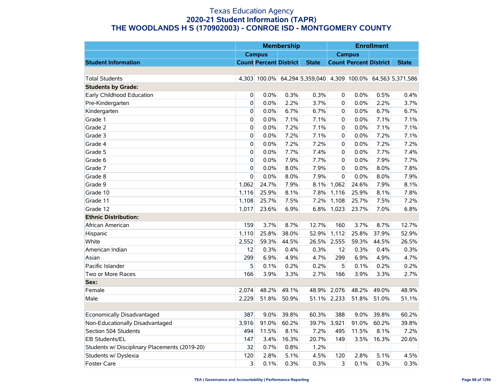### Texas Education Agency **2020-21 Student Information (TAPR) THE WOODLANDS H S (170902003) - CONROE ISD - MONTGOMERY COUNTY**

|                                               |       | <b>Membership</b>             |       |                                                             |                |                               | <b>Enrollment</b> |              |  |  |
|-----------------------------------------------|-------|-------------------------------|-------|-------------------------------------------------------------|----------------|-------------------------------|-------------------|--------------|--|--|
|                                               |       | <b>Campus</b>                 |       |                                                             |                | <b>Campus</b>                 |                   |              |  |  |
| <b>Student Information</b>                    |       | <b>Count Percent District</b> |       | <b>State</b>                                                |                | <b>Count Percent District</b> |                   | <b>State</b> |  |  |
|                                               |       |                               |       |                                                             |                |                               |                   |              |  |  |
| <b>Total Students</b>                         |       |                               |       | 4,303 100.0% 64,294 5,359,040 4,309 100.0% 64,563 5,371,586 |                |                               |                   |              |  |  |
| <b>Students by Grade:</b>                     |       |                               |       |                                                             |                |                               |                   |              |  |  |
| Early Childhood Education                     | 0     | 0.0%                          | 0.3%  | 0.3%                                                        | 0              | 0.0%                          | 0.5%              | 0.4%         |  |  |
| Pre-Kindergarten                              | 0     | 0.0%                          | 2.2%  | 3.7%                                                        | 0              | 0.0%                          | 2.2%              | 3.7%         |  |  |
| Kindergarten                                  | 0     | 0.0%                          | 6.7%  | 6.7%                                                        | $\overline{0}$ | 0.0%                          | 6.7%              | 6.7%         |  |  |
| Grade 1                                       | 0     | 0.0%                          | 7.1%  | 7.1%                                                        | 0              | 0.0%                          | 7.1%              | 7.1%         |  |  |
| Grade 2                                       | 0     | 0.0%                          | 7.2%  | 7.1%                                                        | 0              | 0.0%                          | 7.1%              | 7.1%         |  |  |
| Grade 3                                       | 0     | 0.0%                          | 7.2%  | 7.1%                                                        | 0              | 0.0%                          | 7.2%              | 7.1%         |  |  |
| Grade 4                                       | 0     | 0.0%                          | 7.2%  | 7.2%                                                        | 0              | 0.0%                          | 7.2%              | 7.2%         |  |  |
| Grade 5                                       | 0     | 0.0%                          | 7.7%  | 7.4%                                                        | 0              | 0.0%                          | 7.7%              | 7.4%         |  |  |
| Grade 6                                       | 0     | 0.0%                          | 7.9%  | 7.7%                                                        | 0              | 0.0%                          | 7.9%              | 7.7%         |  |  |
| Grade 7                                       | 0     | 0.0%                          | 8.0%  | 7.9%                                                        | $\overline{0}$ | 0.0%                          | 8.0%              | 7.8%         |  |  |
| Grade 8                                       | 0     | 0.0%                          | 8.0%  | 7.9%                                                        | $\mathbf 0$    | 0.0%                          | 8.0%              | 7.9%         |  |  |
| Grade 9                                       | 1,062 | 24.7%                         | 7.9%  | 8.1%                                                        | 1,062          | 24.6%                         | 7.9%              | 8.1%         |  |  |
| Grade 10                                      | 1,116 | 25.9%                         | 8.1%  | 7.8%                                                        | 1,116          | 25.9%                         | 8.1%              | 7.8%         |  |  |
| Grade 11                                      | 1,108 | 25.7%                         | 7.5%  | 7.2%                                                        | 1,108          | 25.7%                         | 7.5%              | 7.2%         |  |  |
| Grade 12                                      | 1,017 | 23.6%                         | 6.9%  | 6.8%                                                        | 1,023          | 23.7%                         | 7.0%              | 6.8%         |  |  |
| <b>Ethnic Distribution:</b>                   |       |                               |       |                                                             |                |                               |                   |              |  |  |
| African American                              | 159   | 3.7%                          | 8.7%  | 12.7%                                                       | 160            | 3.7%                          | 8.7%              | 12.7%        |  |  |
| Hispanic                                      | 1,110 | 25.8%                         | 38.0% | 52.9%                                                       | 1,112          | 25.8%                         | 37.9%             | 52.9%        |  |  |
| White                                         | 2,552 | 59.3%                         | 44.5% | 26.5%                                                       | 2,555          | 59.3%                         | 44.5%             | 26.5%        |  |  |
| American Indian                               | 12    | 0.3%                          | 0.4%  | 0.3%                                                        | 12             | 0.3%                          | 0.4%              | 0.3%         |  |  |
| Asian                                         | 299   | 6.9%                          | 4.9%  | 4.7%                                                        | 299            | 6.9%                          | 4.9%              | 4.7%         |  |  |
| Pacific Islander                              | 5     | 0.1%                          | 0.2%  | 0.2%                                                        | 5              | 0.1%                          | 0.2%              | 0.2%         |  |  |
| Two or More Races                             | 166   | 3.9%                          | 3.3%  | 2.7%                                                        | 166            | 3.9%                          | 3.3%              | 2.7%         |  |  |
| Sex:                                          |       |                               |       |                                                             |                |                               |                   |              |  |  |
| Female                                        | 2,074 | 48.2%                         | 49.1% | 48.9%                                                       | 2,076          | 48.2%                         | 49.0%             | 48.9%        |  |  |
| Male                                          | 2,229 | 51.8%                         | 50.9% |                                                             | 51.1% 2,233    | 51.8%                         | 51.0%             | 51.1%        |  |  |
|                                               |       |                               |       |                                                             |                |                               |                   |              |  |  |
| Economically Disadvantaged                    | 387   | 9.0%                          | 39.8% | 60.3%                                                       | 388            | 9.0%                          | 39.8%             | 60.2%        |  |  |
| Non-Educationally Disadvantaged               | 3,916 | 91.0%                         | 60.2% | 39.7%                                                       | 3,921          | 91.0%                         | 60.2%             | 39.8%        |  |  |
| Section 504 Students                          | 494   | 11.5%                         | 8.1%  | 7.2%                                                        | 495            | 11.5%                         | 8.1%              | 7.2%         |  |  |
| EB Students/EL                                | 147   | 3.4%                          | 16.3% | 20.7%                                                       | 149            | 3.5%                          | 16.3%             | 20.6%        |  |  |
| Students w/ Disciplinary Placements (2019-20) | 32    | 0.7%                          | 0.8%  | 1.2%                                                        |                |                               |                   |              |  |  |
| Students w/ Dyslexia                          | 120   | 2.8%                          | 5.1%  | 4.5%                                                        | 120            | 2.8%                          | 5.1%              | 4.5%         |  |  |
| <b>Foster Care</b>                            | 3     | 0.1%                          | 0.3%  | 0.3%                                                        | $\overline{3}$ | 0.1%                          | 0.3%              | 0.3%         |  |  |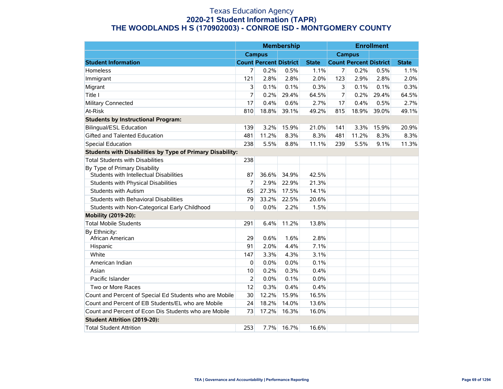### Texas Education Agency **2020-21 Student Information (TAPR) THE WOODLANDS H S (170902003) - CONROE ISD - MONTGOMERY COUNTY**

|                                                                          | <b>Membership</b> |                               |       |              |     | <b>Enrollment</b>             |       |              |  |  |
|--------------------------------------------------------------------------|-------------------|-------------------------------|-------|--------------|-----|-------------------------------|-------|--------------|--|--|
|                                                                          |                   | <b>Campus</b>                 |       |              |     | <b>Campus</b>                 |       |              |  |  |
| <b>Student Information</b>                                               |                   | <b>Count Percent District</b> |       | <b>State</b> |     | <b>Count Percent District</b> |       | <b>State</b> |  |  |
| <b>Homeless</b>                                                          | 7                 | 0.2%                          | 0.5%  | 1.1%         | 7   | 0.2%                          | 0.5%  | 1.1%         |  |  |
| Immigrant                                                                | 121               | 2.8%                          | 2.8%  | 2.0%         | 123 | 2.9%                          | 2.8%  | 2.0%         |  |  |
| Migrant                                                                  | 3                 | 0.1%                          | 0.1%  | 0.3%         | 3   | 0.1%                          | 0.1%  | 0.3%         |  |  |
| Title I                                                                  | 7                 | 0.2%                          | 29.4% | 64.5%        | 7   | 0.2%                          | 29.4% | 64.5%        |  |  |
| Military Connected                                                       | 17                | 0.4%                          | 0.6%  | 2.7%         | 17  | 0.4%                          | 0.5%  | 2.7%         |  |  |
| At-Risk                                                                  | 810               | 18.8%                         | 39.1% | 49.2%        | 815 | 18.9%                         | 39.0% | 49.1%        |  |  |
| <b>Students by Instructional Program:</b>                                |                   |                               |       |              |     |                               |       |              |  |  |
| <b>Bilingual/ESL Education</b>                                           | 139               | 3.2%                          | 15.9% | 21.0%        | 141 | 3.3%                          | 15.9% | 20.9%        |  |  |
| Gifted and Talented Education                                            | 481               | 11.2%                         | 8.3%  | 8.3%         | 481 | 11.2%                         | 8.3%  | 8.3%         |  |  |
| <b>Special Education</b>                                                 | 238               | 5.5%                          | 8.8%  | 11.1%        | 239 | 5.5%                          | 9.1%  | 11.3%        |  |  |
| Students with Disabilities by Type of Primary Disability:                |                   |                               |       |              |     |                               |       |              |  |  |
| <b>Total Students with Disabilities</b>                                  | 238               |                               |       |              |     |                               |       |              |  |  |
| By Type of Primary Disability<br>Students with Intellectual Disabilities | 87                | 36.6%                         | 34.9% | 42.5%        |     |                               |       |              |  |  |
| Students with Physical Disabilities                                      | 7                 | 2.9%                          | 22.9% | 21.3%        |     |                               |       |              |  |  |
| <b>Students with Autism</b>                                              | 65                | 27.3%                         | 17.5% | 14.1%        |     |                               |       |              |  |  |
| Students with Behavioral Disabilities                                    | 79                | 33.2%                         | 22.5% | 20.6%        |     |                               |       |              |  |  |
| Students with Non-Categorical Early Childhood                            | $\mathbf 0$       | 0.0%                          | 2.2%  | 1.5%         |     |                               |       |              |  |  |
| Mobility (2019-20):                                                      |                   |                               |       |              |     |                               |       |              |  |  |
| <b>Total Mobile Students</b>                                             | 291               | 6.4%                          | 11.2% | 13.8%        |     |                               |       |              |  |  |
| By Ethnicity:<br>African American                                        | 29                | 0.6%                          | 1.6%  | 2.8%         |     |                               |       |              |  |  |
| Hispanic                                                                 | 91                | 2.0%                          | 4.4%  | 7.1%         |     |                               |       |              |  |  |
| White                                                                    | 147               | 3.3%                          | 4.3%  | 3.1%         |     |                               |       |              |  |  |
| American Indian                                                          | 0                 | 0.0%                          | 0.0%  | 0.1%         |     |                               |       |              |  |  |
| Asian                                                                    | 10                | 0.2%                          | 0.3%  | 0.4%         |     |                               |       |              |  |  |
| Pacific Islander                                                         | 2                 | 0.0%                          | 0.1%  | 0.0%         |     |                               |       |              |  |  |
| Two or More Races                                                        | 12                | 0.3%                          | 0.4%  | 0.4%         |     |                               |       |              |  |  |
| Count and Percent of Special Ed Students who are Mobile                  | 30                | 12.2%                         | 15.9% | 16.5%        |     |                               |       |              |  |  |
| Count and Percent of EB Students/EL who are Mobile                       | 24                | 18.2%                         | 14.0% | 13.6%        |     |                               |       |              |  |  |
| Count and Percent of Econ Dis Students who are Mobile                    | 73                | 17.2%                         | 16.3% | 16.0%        |     |                               |       |              |  |  |
| <b>Student Attrition (2019-20):</b>                                      |                   |                               |       |              |     |                               |       |              |  |  |
| <b>Total Student Attrition</b>                                           | 253               | 7.7%                          | 16.7% | 16.6%        |     |                               |       |              |  |  |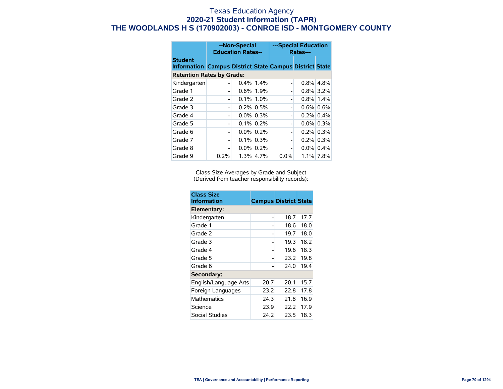#### Texas Education Agency **2020-21 Student Information (TAPR) THE WOODLANDS H S (170902003) - CONROE ISD - MONTGOMERY COUNTY**

|                                                                                  |      | --Non-Special<br><b>Education Rates--</b> |              | ---Special Education<br>Rates--- |  |              |  |  |  |  |
|----------------------------------------------------------------------------------|------|-------------------------------------------|--------------|----------------------------------|--|--------------|--|--|--|--|
| <b>Student</b><br><b>Information Campus District State Campus District State</b> |      |                                           |              |                                  |  |              |  |  |  |  |
| <b>Retention Rates by Grade:</b>                                                 |      |                                           |              |                                  |  |              |  |  |  |  |
| Kindergarten                                                                     |      |                                           | $0.4\%$ 1.4% | -                                |  | $0.8\%$ 4.8% |  |  |  |  |
| Grade 1                                                                          |      |                                           | $0.6\%$ 1.9% | -                                |  | $0.8\%$ 3.2% |  |  |  |  |
| Grade 2                                                                          |      |                                           | $0.1\%$ 1.0% | $\overline{a}$                   |  | $0.8\%$ 1.4% |  |  |  |  |
| Grade 3                                                                          |      |                                           | $0.2\%$ 0.5% | $\overline{a}$                   |  | $0.6\%$ 0.6% |  |  |  |  |
| Grade 4                                                                          |      |                                           | $0.0\%$ 0.3% | $\overline{\phantom{0}}$         |  | $0.2\%$ 0.4% |  |  |  |  |
| Grade 5                                                                          |      |                                           | $0.1\%$ 0.2% | -                                |  | $0.0\%$ 0.3% |  |  |  |  |
| Grade 6                                                                          |      |                                           | $0.0\%$ 0.2% | -                                |  | $0.2\%$ 0.3% |  |  |  |  |
| Grade 7                                                                          |      |                                           | $0.1\%$ 0.3% | -                                |  | $0.2\%$ 0.3% |  |  |  |  |
| Grade 8                                                                          |      |                                           | $0.0\%$ 0.2% | -                                |  | $0.0\%$ 0.4% |  |  |  |  |
| Grade 9                                                                          | 0.2% |                                           | 1.3% 4.7%    | 0.0%                             |  | 1.1% 7.8%    |  |  |  |  |

Class Size Averages by Grade and Subject (Derived from teacher responsibility records):

| <b>Class Size</b><br><b>Information</b> | <b>Campus District State</b> |      |      |
|-----------------------------------------|------------------------------|------|------|
| Elementary:                             |                              |      |      |
| Kindergarten                            |                              | 18.7 | 17.7 |
| Grade 1                                 |                              | 18.6 | 18.0 |
| Grade 2                                 |                              | 19.7 | 18.0 |
| Grade 3                                 |                              | 19.3 | 18.2 |
| Grade 4                                 |                              | 19.6 | 18.3 |
| Grade 5                                 |                              | 23.2 | 19.8 |
| Grade 6                                 |                              | 24.0 | 19.4 |
| Secondary:                              |                              |      |      |
| English/Language Arts                   | 20.7                         | 20.1 | 15.7 |
| Foreign Languages                       | 23.2                         | 22.8 | 17.8 |
| <b>Mathematics</b>                      | 24.3                         | 21.8 | 16.9 |
| Science                                 | 23.9                         | 22.2 | 17.9 |
| Social Studies                          | 24.2                         | 23.5 | 18.3 |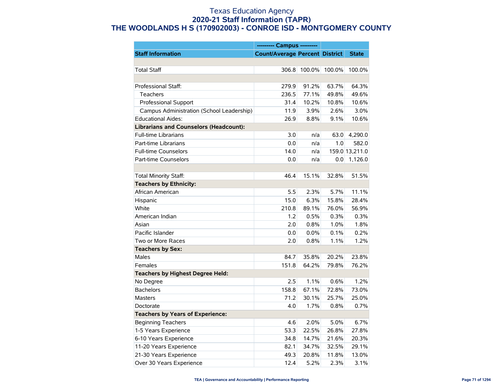#### Texas Education Agency **2020-21 Staff Information (TAPR) THE WOODLANDS H S (170902003) - CONROE ISD - MONTGOMERY COUNTY**

|                                               | --------- Campus ---------            |        |        |                |
|-----------------------------------------------|---------------------------------------|--------|--------|----------------|
| <b>Staff Information</b>                      | <b>Count/Average Percent District</b> |        |        | <b>State</b>   |
|                                               |                                       |        |        |                |
| Total Staff                                   | 306.8                                 | 100.0% | 100.0% | 100.0%         |
|                                               |                                       |        |        |                |
| Professional Staff:                           | 279.9                                 | 91.2%  | 63.7%  | 64.3%          |
| <b>Teachers</b>                               | 236.5                                 | 77.1%  | 49.8%  | 49.6%          |
| Professional Support                          | 31.4                                  | 10.2%  | 10.8%  | 10.6%          |
| Campus Administration (School Leadership)     | 11.9                                  | 3.9%   | 2.6%   | 3.0%           |
| <b>Educational Aides:</b>                     | 26.9                                  | 8.8%   | 9.1%   | 10.6%          |
| <b>Librarians and Counselors (Headcount):</b> |                                       |        |        |                |
| <b>Full-time Librarians</b>                   | 3.0                                   | n/a    | 63.0   | 4,290.0        |
| Part-time Librarians                          | 0.0                                   | n/a    | 1.0    | 582.0          |
| <b>Full-time Counselors</b>                   | 14.0                                  | n/a    |        | 159.0 13,211.0 |
| Part-time Counselors                          | 0.0                                   | n/a    | 0.0    | 1,126.0        |
|                                               |                                       |        |        |                |
| <b>Total Minority Staff:</b>                  | 46.4                                  | 15.1%  | 32.8%  | 51.5%          |
| <b>Teachers by Ethnicity:</b>                 |                                       |        |        |                |
| African American                              | 5.5                                   | 2.3%   | 5.7%   | 11.1%          |
| Hispanic                                      | 15.0                                  | 6.3%   | 15.8%  | 28.4%          |
| White                                         | 210.8                                 | 89.1%  | 76.0%  | 56.9%          |
| American Indian                               | 1.2                                   | 0.5%   | 0.3%   | 0.3%           |
| Asian                                         | 2.0                                   | 0.8%   | 1.0%   | 1.8%           |
| Pacific Islander                              | 0.0                                   | 0.0%   | 0.1%   | 0.2%           |
| Two or More Races                             | 2.0                                   | 0.8%   | 1.1%   | 1.2%           |
| <b>Teachers by Sex:</b>                       |                                       |        |        |                |
| <b>Males</b>                                  | 84.7                                  | 35.8%  | 20.2%  | 23.8%          |
| Females                                       | 151.8                                 | 64.2%  | 79.8%  | 76.2%          |
| <b>Teachers by Highest Degree Held:</b>       |                                       |        |        |                |
| No Degree                                     | 2.5                                   | 1.1%   | 0.6%   | 1.2%           |
| <b>Bachelors</b>                              | 158.8                                 | 67.1%  | 72.8%  | 73.0%          |
| <b>Masters</b>                                | 71.2                                  | 30.1%  | 25.7%  | 25.0%          |
| Doctorate                                     | 4.0                                   | 1.7%   | 0.8%   | 0.7%           |
| <b>Teachers by Years of Experience:</b>       |                                       |        |        |                |
| <b>Beginning Teachers</b>                     | 4.6                                   | 2.0%   | 5.0%   | 6.7%           |
| 1-5 Years Experience                          | 53.3                                  | 22.5%  | 26.8%  | 27.8%          |
| 6-10 Years Experience                         | 34.8                                  | 14.7%  | 21.6%  | 20.3%          |
| 11-20 Years Experience                        | 82.1                                  | 34.7%  | 32.5%  | 29.1%          |
| 21-30 Years Experience                        | 49.3                                  | 20.8%  | 11.8%  | 13.0%          |
| Over 30 Years Experience                      | 12.4                                  | 5.2%   | 2.3%   | 3.1%           |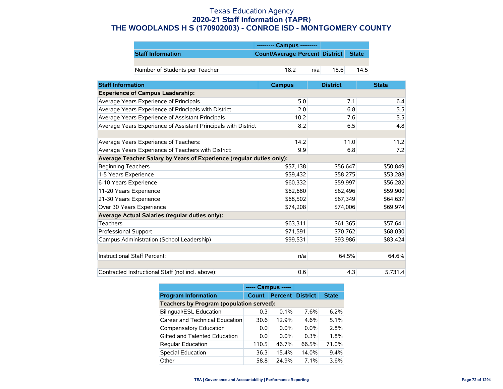### Texas Education Agency **2020-21 Staff Information (TAPR) THE WOODLANDS H S (170902003) - CONROE ISD - MONTGOMERY COUNTY**

|                                | --------- Campus ---------           |             |
|--------------------------------|--------------------------------------|-------------|
| <b>Staff Information</b>       | Count/Average Percent District State |             |
|                                |                                      |             |
| Number of Students per Teacher | 18.2<br>n/a                          | 14.5<br>156 |

| <b>Staff Information</b>                                             | <b>Campus</b> | <b>District</b> | <b>State</b> |
|----------------------------------------------------------------------|---------------|-----------------|--------------|
| <b>Experience of Campus Leadership:</b>                              |               |                 |              |
| Average Years Experience of Principals                               | 5.0           | 7.1             | 6.4          |
| Average Years Experience of Principals with District                 | 2.0           | 6.8             | 5.5          |
| Average Years Experience of Assistant Principals                     | 10.2          | 7.6             | 5.5          |
| Average Years Experience of Assistant Principals with District       | 8.2           | 6.5             | 4.8          |
|                                                                      |               |                 |              |
| Average Years Experience of Teachers:                                | 14.2          | 11.0            | 11.2         |
| Average Years Experience of Teachers with District:                  | 9.9           | 6.8             | 7.2          |
| Average Teacher Salary by Years of Experience (regular duties only): |               |                 |              |
| <b>Beginning Teachers</b>                                            | \$57,138      | \$56,647        | \$50,849     |
| 1-5 Years Experience                                                 | \$59,432      | \$58,275        | \$53,288     |
| 6-10 Years Experience                                                | \$60,332      | \$59,997        | \$56,282     |
| 11-20 Years Experience                                               | \$62,680      | \$62,496        | \$59,900     |
| 21-30 Years Experience                                               | \$68,502      | \$67,349        | \$64,637     |
| Over 30 Years Experience                                             | \$74,208      | \$74,006        | \$69,974     |
| Average Actual Salaries (regular duties only):                       |               |                 |              |
| <b>Teachers</b>                                                      | \$63,311      | \$61,365        | \$57,641     |
| Professional Support                                                 | \$71,591      | \$70,762        | \$68,030     |
| Campus Administration (School Leadership)                            | \$99,531      | \$93,986        | \$83,424     |
|                                                                      |               |                 |              |
| Instructional Staff Percent:                                         | n/a           | 64.5%           | 64.6%        |
|                                                                      |               |                 |              |
| Contracted Instructional Staff (not incl. above):                    | 0.6           | 4.3             | 5,731.4      |

|                                          | ----- Campus ----- |                         |         |              |  |  |  |  |  |  |
|------------------------------------------|--------------------|-------------------------|---------|--------------|--|--|--|--|--|--|
| <b>Program Information</b>               | Count              | <b>Percent District</b> |         | <b>State</b> |  |  |  |  |  |  |
| Teachers by Program (population served): |                    |                         |         |              |  |  |  |  |  |  |
| <b>Bilingual/ESL Education</b>           | 0.3                | 0.1%                    | 7.6%    | 6.2%         |  |  |  |  |  |  |
| Career and Technical Education           | 30.6               | 12.9%                   | 4.6%    | 5.1%         |  |  |  |  |  |  |
| <b>Compensatory Education</b>            | 0.0                | $0.0\%$                 | $0.0\%$ | 2.8%         |  |  |  |  |  |  |
| Gifted and Talented Education            | 0.0                | $0.0\%$                 | 0.3%    | 1.8%         |  |  |  |  |  |  |
| <b>Regular Education</b>                 | 110.5              | 46.7%                   | 66.5%   | 71.0%        |  |  |  |  |  |  |
| <b>Special Education</b>                 | 36.3               | 15.4%                   | 14.0%   | 9.4%         |  |  |  |  |  |  |
| Other                                    | 58.8               | 24.9%                   | 7.1%    | 3.6%         |  |  |  |  |  |  |